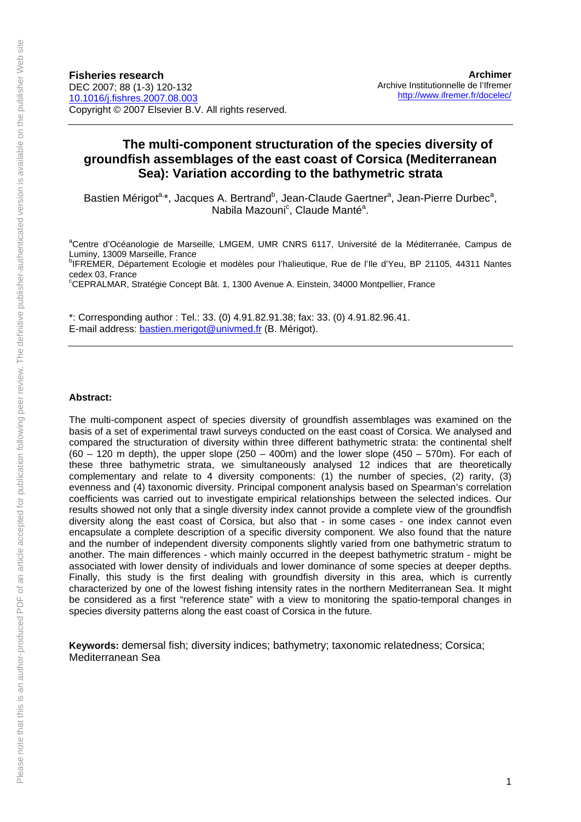# **The multi-component structuration of the species diversity of groundfish assemblages of the east coast of Corsica (Mediterranean Sea): Variation according to the bathymetric strata**

Bastien Mérigot<sup>a,\*</sup>, Jacques A. Bertrand<sup>b</sup>, Jean-Claude Gaertner<sup>a</sup>, Jean-Pierre Durbec<sup>a</sup>, Nabila Mazouni<sup>c</sup>, Claude Manté<sup>a</sup>.

<sup>a</sup>Centre d'Océanologie de Marseille, LMGEM, UMR CNRS 6117, Université de la Méditerranée, Campus de Luminy, 13009 Marseille, France

<sup>b</sup>IFREMER, Département Ecologie et modèles pour l'halieutique, Rue de l'Ile d'Yeu, BP 21105, 44311 Nantes cedex 03, France

c CEPRALMAR, Stratégie Concept Bât. 1, 1300 Avenue A. Einstein, 34000 Montpellier, France

\*: Corresponding author : Tel.: 33. (0) 4.91.82.91.38; fax: 33. (0) 4.91.82.96.41. E-mail address: bastien.merigot@univmed.fr (B. Mérigot).

#### **Abstract:**

The multi-component aspect of species diversity of groundfish assemblages was examined on the basis of a set of experimental trawl surveys conducted on the east coast of Corsica. We analysed and compared the structuration of diversity within three different bathymetric strata: the continental shelf  $(60 - 120$  m depth), the upper slope  $(250 - 400m)$  and the lower slope  $(450 - 570m)$ . For each of these three bathymetric strata, we simultaneously analysed 12 indices that are theoretically complementary and relate to 4 diversity components: (1) the number of species, (2) rarity, (3) evenness and (4) taxonomic diversity. Principal component analysis based on Spearman's correlation coefficients was carried out to investigate empirical relationships between the selected indices. Our results showed not only that a single diversity index cannot provide a complete view of the groundfish diversity along the east coast of Corsica, but also that - in some cases - one index cannot even encapsulate a complete description of a specific diversity component. We also found that the nature and the number of independent diversity components slightly varied from one bathymetric stratum to another. The main differences - which mainly occurred in the deepest bathymetric stratum - might be associated with lower density of individuals and lower dominance of some species at deeper depths. Finally, this study is the first dealing with groundfish diversity in this area, which is currently characterized by one of the lowest fishing intensity rates in the northern Mediterranean Sea. It might be considered as a first "reference state" with a view to monitoring the spatio-temporal changes in species diversity patterns along the east coast of Corsica in the future.

**Keywords:** demersal fish; diversity indices; bathymetry; taxonomic relatedness; Corsica; Mediterranean Sea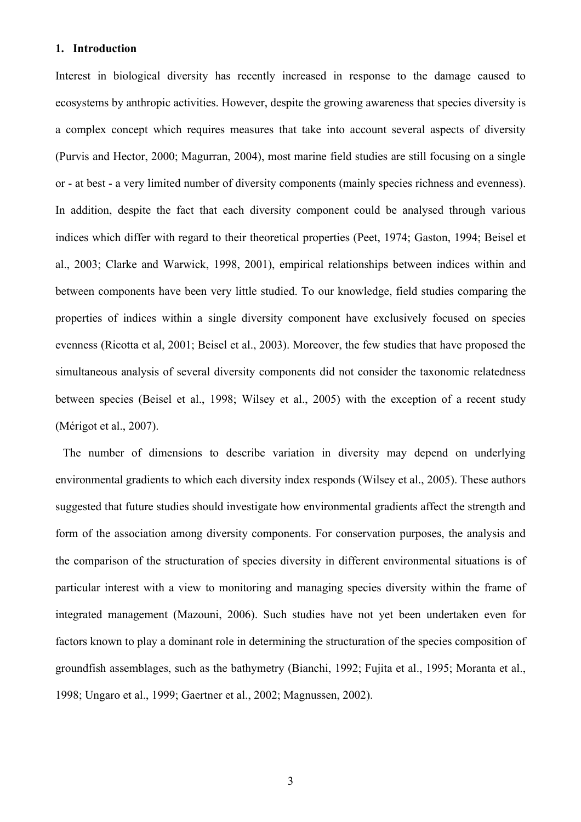### **1. Introduction**

Interest in biological diversity has recently increased in response to the damage caused to ecosystems by anthropic activities. However, despite the growing awareness that species diversity is a complex concept which requires measures that take into account several aspects of diversity (Purvis and Hector, 2000; Magurran, 2004), most marine field studies are still focusing on a single or - at best - a very limited number of diversity components (mainly species richness and evenness). In addition, despite the fact that each diversity component could be analysed through various indices which differ with regard to their theoretical properties (Peet, 1974; Gaston, 1994; Beisel et al., 2003; Clarke and Warwick, 1998, 2001), empirical relationships between indices within and between components have been very little studied. To our knowledge, field studies comparing the properties of indices within a single diversity component have exclusively focused on species evenness (Ricotta et al, 2001; Beisel et al., 2003). Moreover, the few studies that have proposed the simultaneous analysis of several diversity components did not consider the taxonomic relatedness between species (Beisel et al., 1998; Wilsey et al., 2005) with the exception of a recent study (Mérigot et al., 2007).

 The number of dimensions to describe variation in diversity may depend on underlying environmental gradients to which each diversity index responds (Wilsey et al., 2005). These authors suggested that future studies should investigate how environmental gradients affect the strength and form of the association among diversity components. For conservation purposes, the analysis and the comparison of the structuration of species diversity in different environmental situations is of particular interest with a view to monitoring and managing species diversity within the frame of integrated management (Mazouni, 2006). Such studies have not yet been undertaken even for factors known to play a dominant role in determining the structuration of the species composition of groundfish assemblages, such as the bathymetry (Bianchi, 1992; Fujita et al., 1995; Moranta et al., 1998; Ungaro et al., 1999; Gaertner et al., 2002; Magnussen, 2002).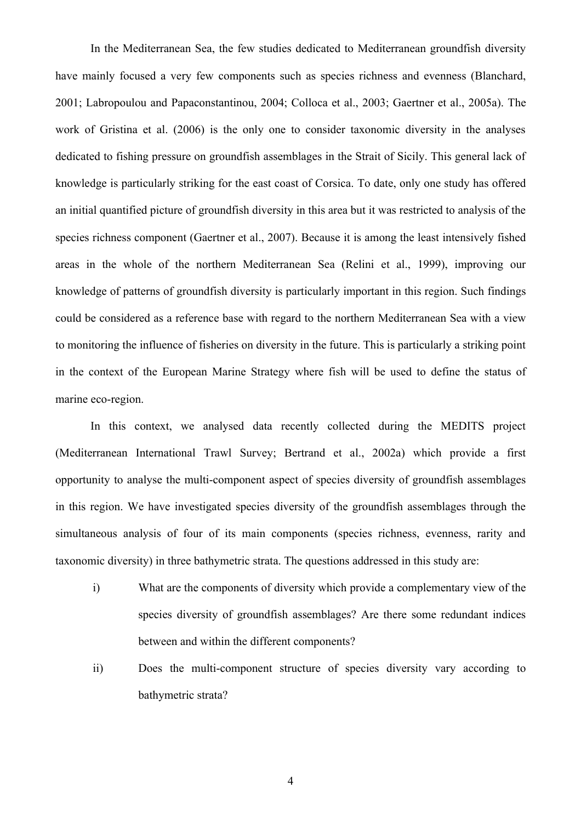In the Mediterranean Sea, the few studies dedicated to Mediterranean groundfish diversity have mainly focused a very few components such as species richness and evenness (Blanchard, 2001; Labropoulou and Papaconstantinou, 2004; Colloca et al., 2003; Gaertner et al., 2005a). The work of Gristina et al. (2006) is the only one to consider taxonomic diversity in the analyses dedicated to fishing pressure on groundfish assemblages in the Strait of Sicily. This general lack of knowledge is particularly striking for the east coast of Corsica. To date, only one study has offered an initial quantified picture of groundfish diversity in this area but it was restricted to analysis of the species richness component (Gaertner et al., 2007). Because it is among the least intensively fished areas in the whole of the northern Mediterranean Sea (Relini et al., 1999), improving our knowledge of patterns of groundfish diversity is particularly important in this region. Such findings could be considered as a reference base with regard to the northern Mediterranean Sea with a view to monitoring the influence of fisheries on diversity in the future. This is particularly a striking point in the context of the European Marine Strategy where fish will be used to define the status of marine eco-region.

In this context, we analysed data recently collected during the MEDITS project (Mediterranean International Trawl Survey; Bertrand et al., 2002a) which provide a first opportunity to analyse the multi-component aspect of species diversity of groundfish assemblages in this region. We have investigated species diversity of the groundfish assemblages through the simultaneous analysis of four of its main components (species richness, evenness, rarity and taxonomic diversity) in three bathymetric strata. The questions addressed in this study are:

- i) What are the components of diversity which provide a complementary view of the species diversity of groundfish assemblages? Are there some redundant indices between and within the different components?
- ii) Does the multi-component structure of species diversity vary according to bathymetric strata?

4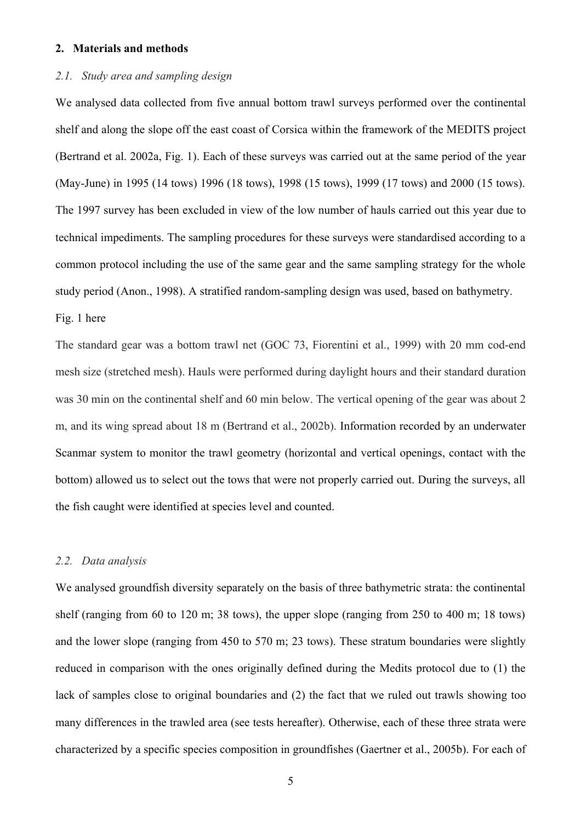### **2. Materials and methods**

# *2.1. Study area and sampling design*

We analysed data collected from five annual bottom trawl surveys performed over the continental shelf and along the slope off the east coast of Corsica within the framework of the MEDITS project (Bertrand et al. 2002a, Fig. 1). Each of these surveys was carried out at the same period of the year (May-June) in 1995 (14 tows) 1996 (18 tows), 1998 (15 tows), 1999 (17 tows) and 2000 (15 tows). The 1997 survey has been excluded in view of the low number of hauls carried out this year due to technical impediments. The sampling procedures for these surveys were standardised according to a common protocol including the use of the same gear and the same sampling strategy for the whole study period (Anon., 1998). A stratified random-sampling design was used, based on bathymetry.

### Fig. 1 here

The standard gear was a bottom trawl net (GOC 73, Fiorentini et al., 1999) with 20 mm cod-end mesh size (stretched mesh). Hauls were performed during daylight hours and their standard duration was 30 min on the continental shelf and 60 min below. The vertical opening of the gear was about 2 m, and its wing spread about 18 m (Bertrand et al., 2002b). Information recorded by an underwater Scanmar system to monitor the trawl geometry (horizontal and vertical openings, contact with the bottom) allowed us to select out the tows that were not properly carried out. During the surveys, all the fish caught were identified at species level and counted.

#### *2.2. Data analysis*

We analysed groundfish diversity separately on the basis of three bathymetric strata: the continental shelf (ranging from 60 to 120 m; 38 tows), the upper slope (ranging from 250 to 400 m; 18 tows) and the lower slope (ranging from 450 to 570 m; 23 tows). These stratum boundaries were slightly reduced in comparison with the ones originally defined during the Medits protocol due to (1) the lack of samples close to original boundaries and (2) the fact that we ruled out trawls showing too many differences in the trawled area (see tests hereafter). Otherwise, each of these three strata were characterized by a specific species composition in groundfishes (Gaertner et al., 2005b). For each of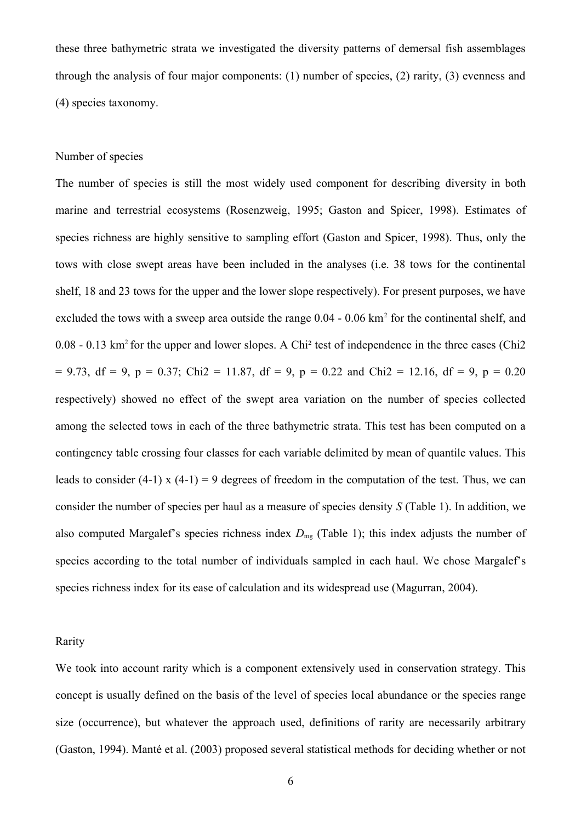these three bathymetric strata we investigated the diversity patterns of demersal fish assemblages through the analysis of four major components: (1) number of species, (2) rarity, (3) evenness and (4) species taxonomy.

### Number of species

The number of species is still the most widely used component for describing diversity in both marine and terrestrial ecosystems (Rosenzweig, 1995; Gaston and Spicer, 1998). Estimates of species richness are highly sensitive to sampling effort (Gaston and Spicer, 1998). Thus, only the tows with close swept areas have been included in the analyses (i.e. 38 tows for the continental shelf, 18 and 23 tows for the upper and the lower slope respectively). For present purposes, we have excluded the tows with a sweep area outside the range  $0.04 - 0.06$  km<sup>2</sup> for the continental shelf, and  $0.08 - 0.13$  km<sup>2</sup> for the upper and lower slopes. A Chi<sup>2</sup> test of independence in the three cases (Chi2  $= 9.73$ , df = 9, p = 0.37; Chi2 = 11.87, df = 9, p = 0.22 and Chi2 = 12.16, df = 9, p = 0.20 respectively) showed no effect of the swept area variation on the number of species collected among the selected tows in each of the three bathymetric strata. This test has been computed on a contingency table crossing four classes for each variable delimited by mean of quantile values. This leads to consider (4-1) x (4-1) = 9 degrees of freedom in the computation of the test. Thus, we can consider the number of species per haul as a measure of species density *S* (Table 1). In addition, we also computed Margalef's species richness index  $D_{mg}$  (Table 1); this index adjusts the number of species according to the total number of individuals sampled in each haul. We chose Margalef's species richness index for its ease of calculation and its widespread use (Magurran, 2004).

#### Rarity

We took into account rarity which is a component extensively used in conservation strategy. This concept is usually defined on the basis of the level of species local abundance or the species range size (occurrence), but whatever the approach used, definitions of rarity are necessarily arbitrary (Gaston, 1994). Manté et al. (2003) proposed several statistical methods for deciding whether or not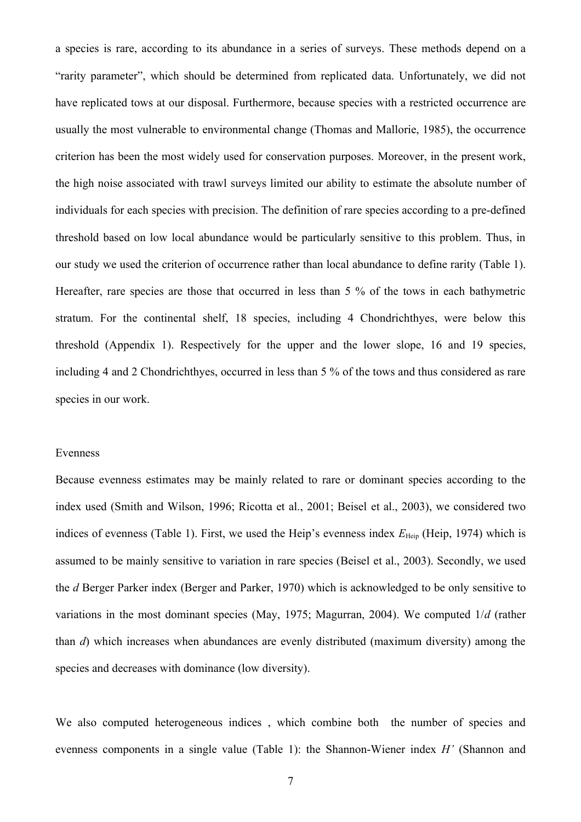a species is rare, according to its abundance in a series of surveys. These methods depend on a "rarity parameter", which should be determined from replicated data. Unfortunately, we did not have replicated tows at our disposal. Furthermore, because species with a restricted occurrence are usually the most vulnerable to environmental change (Thomas and Mallorie, 1985), the occurrence criterion has been the most widely used for conservation purposes. Moreover, in the present work, the high noise associated with trawl surveys limited our ability to estimate the absolute number of individuals for each species with precision. The definition of rare species according to a pre-defined threshold based on low local abundance would be particularly sensitive to this problem. Thus, in our study we used the criterion of occurrence rather than local abundance to define rarity (Table 1). Hereafter, rare species are those that occurred in less than 5 % of the tows in each bathymetric stratum. For the continental shelf, 18 species, including 4 Chondrichthyes, were below this threshold (Appendix 1). Respectively for the upper and the lower slope, 16 and 19 species, including 4 and 2 Chondrichthyes, occurred in less than 5 % of the tows and thus considered as rare species in our work.

#### Evenness

Because evenness estimates may be mainly related to rare or dominant species according to the index used (Smith and Wilson, 1996; Ricotta et al., 2001; Beisel et al., 2003), we considered two indices of evenness (Table 1). First, we used the Heip's evenness index  $E_{\text{Heip}}$  (Heip, 1974) which is assumed to be mainly sensitive to variation in rare species (Beisel et al., 2003). Secondly, we used the *d* Berger Parker index (Berger and Parker, 1970) which is acknowledged to be only sensitive to variations in the most dominant species (May, 1975; Magurran, 2004). We computed 1/*d* (rather than *d*) which increases when abundances are evenly distributed (maximum diversity) among the species and decreases with dominance (low diversity).

We also computed heterogeneous indices, which combine both the number of species and evenness components in a single value (Table 1): the Shannon-Wiener index *H'* (Shannon and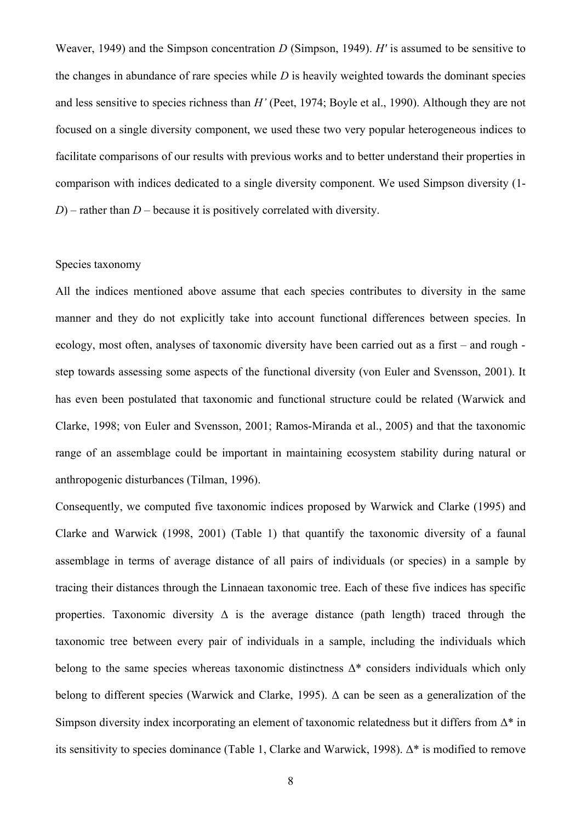Weaver, 1949) and the Simpson concentration *D* (Simpson, 1949). *H′* is assumed to be sensitive to the changes in abundance of rare species while *D* is heavily weighted towards the dominant species and less sensitive to species richness than *H'* (Peet, 1974; Boyle et al., 1990). Although they are not focused on a single diversity component, we used these two very popular heterogeneous indices to facilitate comparisons of our results with previous works and to better understand their properties in comparison with indices dedicated to a single diversity component. We used Simpson diversity (1- *D*) – rather than *D* – because it is positively correlated with diversity.

### Species taxonomy

All the indices mentioned above assume that each species contributes to diversity in the same manner and they do not explicitly take into account functional differences between species. In ecology, most often, analyses of taxonomic diversity have been carried out as a first – and rough step towards assessing some aspects of the functional diversity (von Euler and Svensson, 2001). It has even been postulated that taxonomic and functional structure could be related (Warwick and Clarke, 1998; von Euler and Svensson, 2001; Ramos-Miranda et al., 2005) and that the taxonomic range of an assemblage could be important in maintaining ecosystem stability during natural or anthropogenic disturbances (Tilman, 1996).

Consequently, we computed five taxonomic indices proposed by Warwick and Clarke (1995) and Clarke and Warwick (1998, 2001) (Table 1) that quantify the taxonomic diversity of a faunal assemblage in terms of average distance of all pairs of individuals (or species) in a sample by tracing their distances through the Linnaean taxonomic tree. Each of these five indices has specific properties. Taxonomic diversity  $\Delta$  is the average distance (path length) traced through the taxonomic tree between every pair of individuals in a sample, including the individuals which belong to the same species whereas taxonomic distinctness  $\Delta^*$  considers individuals which only belong to different species (Warwick and Clarke, 1995). Δ can be seen as a generalization of the Simpson diversity index incorporating an element of taxonomic relatedness but it differs from  $\Delta^*$  in its sensitivity to species dominance (Table 1, Clarke and Warwick, 1998). Δ\* is modified to remove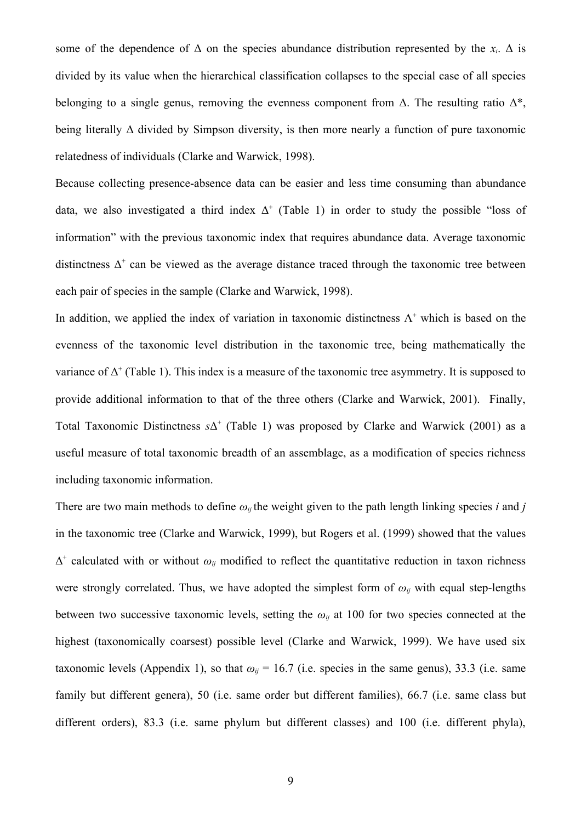some of the dependence of  $\Delta$  on the species abundance distribution represented by the  $x_i$ .  $\Delta$  is divided by its value when the hierarchical classification collapses to the special case of all species belonging to a single genus, removing the evenness component from  $\Delta$ . The resulting ratio  $\Delta^*$ , being literally  $\Delta$  divided by Simpson diversity, is then more nearly a function of pure taxonomic relatedness of individuals (Clarke and Warwick, 1998).

Because collecting presence-absence data can be easier and less time consuming than abundance data, we also investigated a third index  $\Delta^+$  (Table 1) in order to study the possible "loss of information" with the previous taxonomic index that requires abundance data. Average taxonomic distinctness  $\Delta^+$  can be viewed as the average distance traced through the taxonomic tree between each pair of species in the sample (Clarke and Warwick, 1998).

In addition, we applied the index of variation in taxonomic distinctness  $\Lambda^+$  which is based on the evenness of the taxonomic level distribution in the taxonomic tree, being mathematically the variance of  $\Delta^+$  (Table 1). This index is a measure of the taxonomic tree asymmetry. It is supposed to provide additional information to that of the three others (Clarke and Warwick, 2001). Finally, Total Taxonomic Distinctness *s*Δ + (Table 1) was proposed by Clarke and Warwick (2001) as a useful measure of total taxonomic breadth of an assemblage, as a modification of species richness including taxonomic information.

There are two main methods to define  $\omega_i$  the weight given to the path length linking species *i* and *j* in the taxonomic tree (Clarke and Warwick, 1999), but Rogers et al. (1999) showed that the values  $\Delta^+$  calculated with or without  $\omega_{ij}$  modified to reflect the quantitative reduction in taxon richness were strongly correlated. Thus, we have adopted the simplest form of  $\omega_{ii}$  with equal step-lengths between two successive taxonomic levels, setting the  $\omega_{ij}$  at 100 for two species connected at the highest (taxonomically coarsest) possible level (Clarke and Warwick, 1999). We have used six taxonomic levels (Appendix 1), so that  $\omega_{ii}$  = 16.7 (i.e. species in the same genus), 33.3 (i.e. same family but different genera), 50 (i.e. same order but different families), 66.7 (i.e. same class but different orders), 83.3 (i.e. same phylum but different classes) and 100 (i.e. different phyla),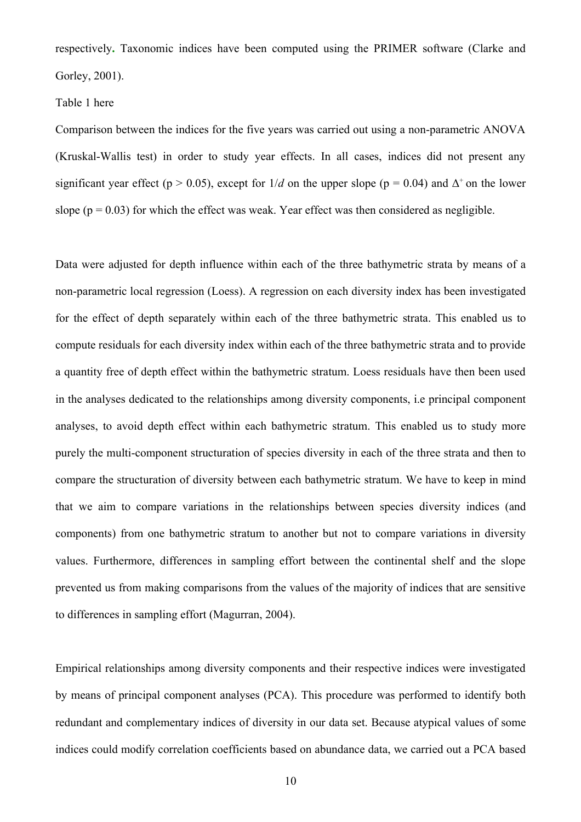respectively**.** Taxonomic indices have been computed using the PRIMER software (Clarke and Gorley, 2001).

### Table 1 here

Comparison between the indices for the five years was carried out using a non-parametric ANOVA (Kruskal-Wallis test) in order to study year effects. In all cases, indices did not present any significant year effect ( $p > 0.05$ ), except for  $1/d$  on the upper slope ( $p = 0.04$ ) and  $\Delta^+$  on the lower slope ( $p = 0.03$ ) for which the effect was weak. Year effect was then considered as negligible.

Data were adjusted for depth influence within each of the three bathymetric strata by means of a non-parametric local regression (Loess). A regression on each diversity index has been investigated for the effect of depth separately within each of the three bathymetric strata. This enabled us to compute residuals for each diversity index within each of the three bathymetric strata and to provide a quantity free of depth effect within the bathymetric stratum. Loess residuals have then been used in the analyses dedicated to the relationships among diversity components, i.e principal component analyses, to avoid depth effect within each bathymetric stratum. This enabled us to study more purely the multi-component structuration of species diversity in each of the three strata and then to compare the structuration of diversity between each bathymetric stratum. We have to keep in mind that we aim to compare variations in the relationships between species diversity indices (and components) from one bathymetric stratum to another but not to compare variations in diversity values. Furthermore, differences in sampling effort between the continental shelf and the slope prevented us from making comparisons from the values of the majority of indices that are sensitive to differences in sampling effort (Magurran, 2004).

Empirical relationships among diversity components and their respective indices were investigated by means of principal component analyses (PCA). This procedure was performed to identify both redundant and complementary indices of diversity in our data set. Because atypical values of some indices could modify correlation coefficients based on abundance data, we carried out a PCA based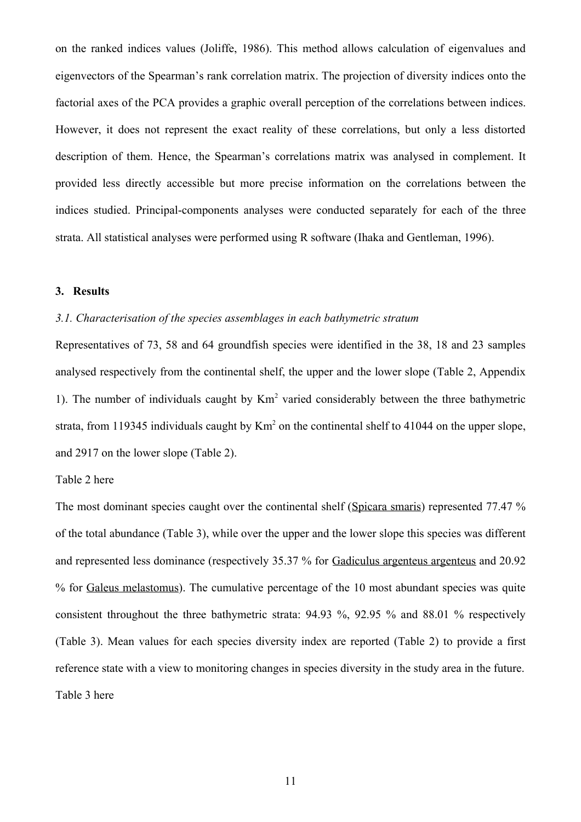on the ranked indices values (Joliffe, 1986). This method allows calculation of eigenvalues and eigenvectors of the Spearman's rank correlation matrix. The projection of diversity indices onto the factorial axes of the PCA provides a graphic overall perception of the correlations between indices. However, it does not represent the exact reality of these correlations, but only a less distorted description of them. Hence, the Spearman's correlations matrix was analysed in complement. It provided less directly accessible but more precise information on the correlations between the indices studied. Principal-components analyses were conducted separately for each of the three strata. All statistical analyses were performed using R software (Ihaka and Gentleman, 1996).

# **3. Results**

### *3.1. Characterisation of the species assemblages in each bathymetric stratum*

Representatives of 73, 58 and 64 groundfish species were identified in the 38, 18 and 23 samples analysed respectively from the continental shelf, the upper and the lower slope (Table 2, Appendix 1). The number of individuals caught by  $Km<sup>2</sup>$  varied considerably between the three bathymetric strata, from 119345 individuals caught by  $\text{Km}^2$  on the continental shelf to 41044 on the upper slope, and 2917 on the lower slope (Table 2).

### Table 2 here

The most dominant species caught over the continental shelf (Spicara smaris) represented 77.47 % of the total abundance (Table 3), while over the upper and the lower slope this species was different and represented less dominance (respectively 35.37 % for Gadiculus argenteus argenteus and 20.92 % for Galeus melastomus). The cumulative percentage of the 10 most abundant species was quite consistent throughout the three bathymetric strata: 94.93 %, 92.95 % and 88.01 % respectively (Table 3). Mean values for each species diversity index are reported (Table 2) to provide a first reference state with a view to monitoring changes in species diversity in the study area in the future. Table 3 here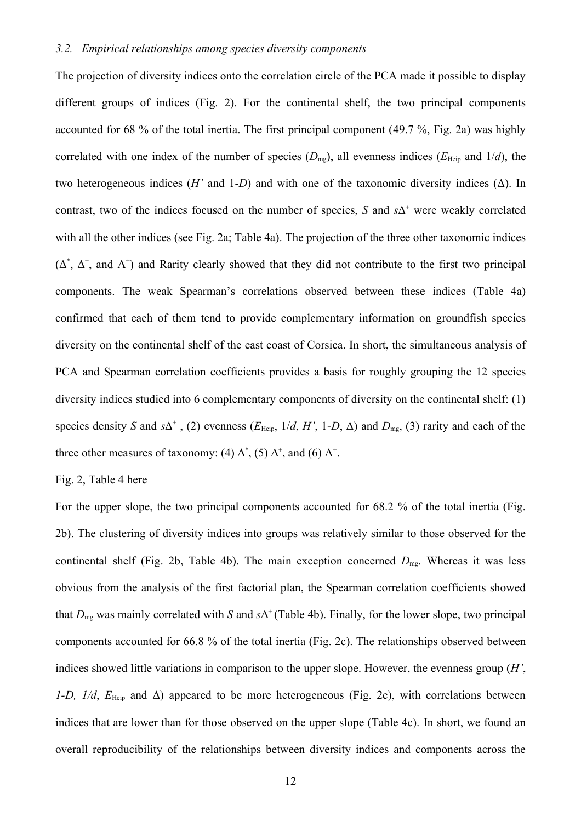### *3.2. Empirical relationships among species diversity components*

The projection of diversity indices onto the correlation circle of the PCA made it possible to display different groups of indices (Fig. 2). For the continental shelf, the two principal components accounted for 68 % of the total inertia. The first principal component (49.7 %, Fig. 2a) was highly correlated with one index of the number of species  $(D_{mg})$ , all evenness indices ( $E_{Heip}$  and  $1/d$ ), the two heterogeneous indices (*H'* and 1-*D*) and with one of the taxonomic diversity indices (Δ). In contrast, two of the indices focused on the number of species,  $S$  and  $s\Delta^+$  were weakly correlated with all the other indices (see Fig. 2a; Table 4a). The projection of the three other taxonomic indices  $(\Delta^*, \Delta^*,$  and  $\Lambda^*)$  and Rarity clearly showed that they did not contribute to the first two principal components. The weak Spearman's correlations observed between these indices (Table 4a) confirmed that each of them tend to provide complementary information on groundfish species diversity on the continental shelf of the east coast of Corsica. In short, the simultaneous analysis of PCA and Spearman correlation coefficients provides a basis for roughly grouping the 12 species diversity indices studied into 6 complementary components of diversity on the continental shelf: (1) species density *S* and  $s\Delta^+$ , (2) evenness ( $E_{\text{Heip}}$ ,  $1/d$ ,  $H'$ , 1-*D*,  $\Delta$ ) and  $D_{\text{mg}}$ , (3) rarity and each of the three other measures of taxonomy: (4)  $\Delta^*$ , (5)  $\Delta^*$ , and (6)  $\Lambda^*$ .

Fig. 2, Table 4 here

For the upper slope, the two principal components accounted for 68.2 % of the total inertia (Fig. 2b). The clustering of diversity indices into groups was relatively similar to those observed for the continental shelf (Fig. 2b, Table 4b). The main exception concerned  $D_{mg}$ . Whereas it was less obvious from the analysis of the first factorial plan, the Spearman correlation coefficients showed that  $D_{mg}$  was mainly correlated with *S* and  $s\Delta^+$  (Table 4b). Finally, for the lower slope, two principal components accounted for 66.8 % of the total inertia (Fig. 2c). The relationships observed between indices showed little variations in comparison to the upper slope. However, the evenness group (*H'*, *1-D, 1/d, E*<sub>Heip</sub> and Δ) appeared to be more heterogeneous (Fig. 2c), with correlations between indices that are lower than for those observed on the upper slope (Table 4c). In short, we found an overall reproducibility of the relationships between diversity indices and components across the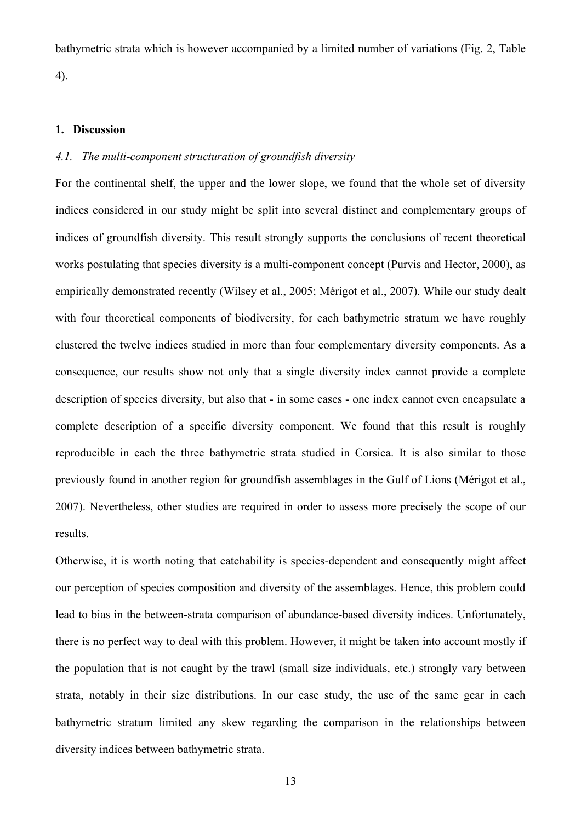bathymetric strata which is however accompanied by a limited number of variations (Fig. 2, Table 4).

#### **1. Discussion**

# *4.1. The multi-component structuration of groundfish diversity*

For the continental shelf, the upper and the lower slope, we found that the whole set of diversity indices considered in our study might be split into several distinct and complementary groups of indices of groundfish diversity. This result strongly supports the conclusions of recent theoretical works postulating that species diversity is a multi-component concept (Purvis and Hector, 2000), as empirically demonstrated recently (Wilsey et al., 2005; Mérigot et al., 2007). While our study dealt with four theoretical components of biodiversity, for each bathymetric stratum we have roughly clustered the twelve indices studied in more than four complementary diversity components. As a consequence, our results show not only that a single diversity index cannot provide a complete description of species diversity, but also that - in some cases - one index cannot even encapsulate a complete description of a specific diversity component. We found that this result is roughly reproducible in each the three bathymetric strata studied in Corsica. It is also similar to those previously found in another region for groundfish assemblages in the Gulf of Lions (Mérigot et al., 2007). Nevertheless, other studies are required in order to assess more precisely the scope of our results.

Otherwise, it is worth noting that catchability is species-dependent and consequently might affect our perception of species composition and diversity of the assemblages. Hence, this problem could lead to bias in the between-strata comparison of abundance-based diversity indices. Unfortunately, there is no perfect way to deal with this problem. However, it might be taken into account mostly if the population that is not caught by the trawl (small size individuals, etc.) strongly vary between strata, notably in their size distributions. In our case study, the use of the same gear in each bathymetric stratum limited any skew regarding the comparison in the relationships between diversity indices between bathymetric strata.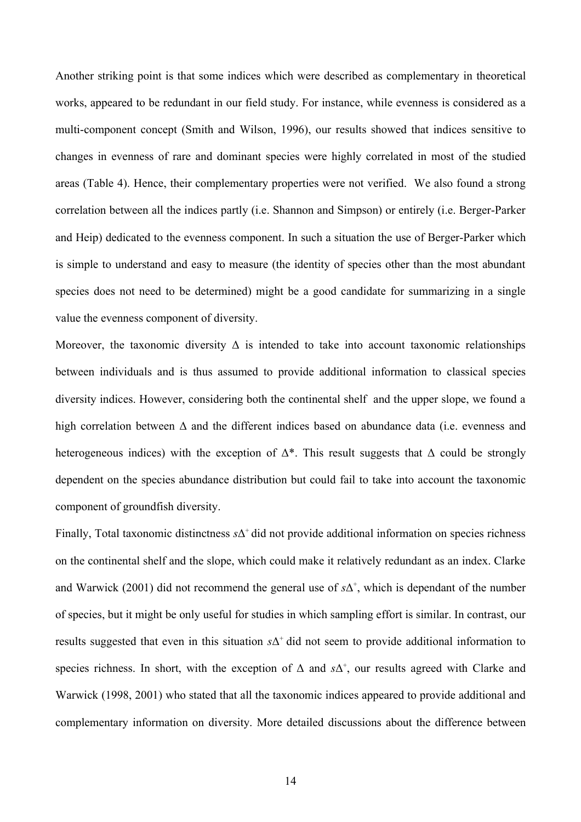Another striking point is that some indices which were described as complementary in theoretical works, appeared to be redundant in our field study. For instance, while evenness is considered as a multi-component concept (Smith and Wilson, 1996), our results showed that indices sensitive to changes in evenness of rare and dominant species were highly correlated in most of the studied areas (Table 4). Hence, their complementary properties were not verified. We also found a strong correlation between all the indices partly (i.e. Shannon and Simpson) or entirely (i.e. Berger-Parker and Heip) dedicated to the evenness component. In such a situation the use of Berger-Parker which is simple to understand and easy to measure (the identity of species other than the most abundant species does not need to be determined) might be a good candidate for summarizing in a single value the evenness component of diversity.

Moreover, the taxonomic diversity  $\Delta$  is intended to take into account taxonomic relationships between individuals and is thus assumed to provide additional information to classical species diversity indices. However, considering both the continental shelf and the upper slope, we found a high correlation between Δ and the different indices based on abundance data (i.e. evenness and heterogeneous indices) with the exception of  $\Delta^*$ . This result suggests that  $\Delta$  could be strongly dependent on the species abundance distribution but could fail to take into account the taxonomic component of groundfish diversity.

Finally, Total taxonomic distinctness  $s\Delta^+$  did not provide additional information on species richness on the continental shelf and the slope, which could make it relatively redundant as an index. Clarke and Warwick (2001) did not recommend the general use of  $s\Delta^+$ , which is dependant of the number of species, but it might be only useful for studies in which sampling effort is similar. In contrast, our results suggested that even in this situation  $s\Delta^+$  did not seem to provide additional information to species richness. In short, with the exception of  $\Delta$  and  $s\Delta^+$ , our results agreed with Clarke and Warwick (1998, 2001) who stated that all the taxonomic indices appeared to provide additional and complementary information on diversity. More detailed discussions about the difference between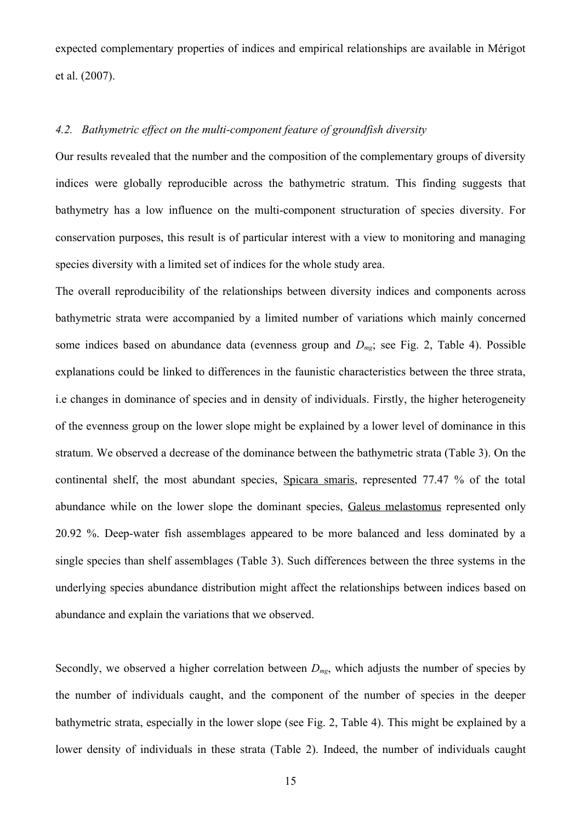expected complementary properties of indices and empirical relationships are available in Mérigot et al. (2007).

### *4.2. Bathymetric effect on the multi-component feature of groundfish diversity*

Our results revealed that the number and the composition of the complementary groups of diversity indices were globally reproducible across the bathymetric stratum. This finding suggests that bathymetry has a low influence on the multi-component structuration of species diversity. For conservation purposes, this result is of particular interest with a view to monitoring and managing species diversity with a limited set of indices for the whole study area.

The overall reproducibility of the relationships between diversity indices and components across bathymetric strata were accompanied by a limited number of variations which mainly concerned some indices based on abundance data (evenness group and *Dmg*; see Fig. 2, Table 4). Possible explanations could be linked to differences in the faunistic characteristics between the three strata, i.e changes in dominance of species and in density of individuals. Firstly, the higher heterogeneity of the evenness group on the lower slope might be explained by a lower level of dominance in this stratum. We observed a decrease of the dominance between the bathymetric strata (Table 3). On the continental shelf, the most abundant species, Spicara smaris, represented 77.47 % of the total abundance while on the lower slope the dominant species, Galeus melastomus represented only 20.92 %. Deep-water fish assemblages appeared to be more balanced and less dominated by a single species than shelf assemblages (Table 3). Such differences between the three systems in the underlying species abundance distribution might affect the relationships between indices based on abundance and explain the variations that we observed.

Secondly, we observed a higher correlation between  $D_{mg}$ , which adjusts the number of species by the number of individuals caught, and the component of the number of species in the deeper bathymetric strata, especially in the lower slope (see Fig. 2, Table 4). This might be explained by a lower density of individuals in these strata (Table 2). Indeed, the number of individuals caught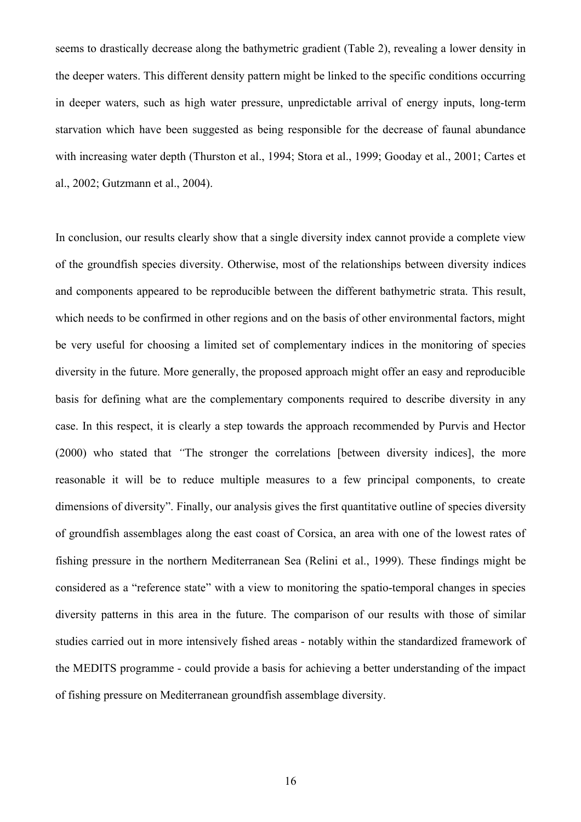seems to drastically decrease along the bathymetric gradient (Table 2), revealing a lower density in the deeper waters. This different density pattern might be linked to the specific conditions occurring in deeper waters, such as high water pressure, unpredictable arrival of energy inputs, long-term starvation which have been suggested as being responsible for the decrease of faunal abundance with increasing water depth [\(Thurston et al., 1994;](https://vpnu2.univ-mrs.fr/http/0/www.sciencedirect.com/#bib82) [Stora et al., 1999;](https://vpnu2.univ-mrs.fr/http/0/www.sciencedirect.com/#bib76) [Gooday et al., 2001;](https://vpnu2.univ-mrs.fr/http/0/www.sciencedirect.com/#bib35) [Cartes et](https://vpnu2.univ-mrs.fr/http/0/www.sciencedirect.com/#bib7) [al., 2002;](https://vpnu2.univ-mrs.fr/http/0/www.sciencedirect.com/#bib7) [Gutzmann et al., 2004\)](https://vpnu2.univ-mrs.fr/http/0/www.sciencedirect.com/#bib37).

In conclusion, our results clearly show that a single diversity index cannot provide a complete view of the groundfish species diversity. Otherwise, most of the relationships between diversity indices and components appeared to be reproducible between the different bathymetric strata. This result, which needs to be confirmed in other regions and on the basis of other environmental factors, might be very useful for choosing a limited set of complementary indices in the monitoring of species diversity in the future. More generally, the proposed approach might offer an easy and reproducible basis for defining what are the complementary components required to describe diversity in any case. In this respect, it is clearly a step towards the approach recommended by Purvis and Hector (2000) who stated that *"*The stronger the correlations [between diversity indices], the more reasonable it will be to reduce multiple measures to a few principal components, to create dimensions of diversity". Finally, our analysis gives the first quantitative outline of species diversity of groundfish assemblages along the east coast of Corsica, an area with one of the lowest rates of fishing pressure in the northern Mediterranean Sea (Relini et al., 1999). These findings might be considered as a "reference state" with a view to monitoring the spatio-temporal changes in species diversity patterns in this area in the future. The comparison of our results with those of similar studies carried out in more intensively fished areas - notably within the standardized framework of the MEDITS programme - could provide a basis for achieving a better understanding of the impact of fishing pressure on Mediterranean groundfish assemblage diversity.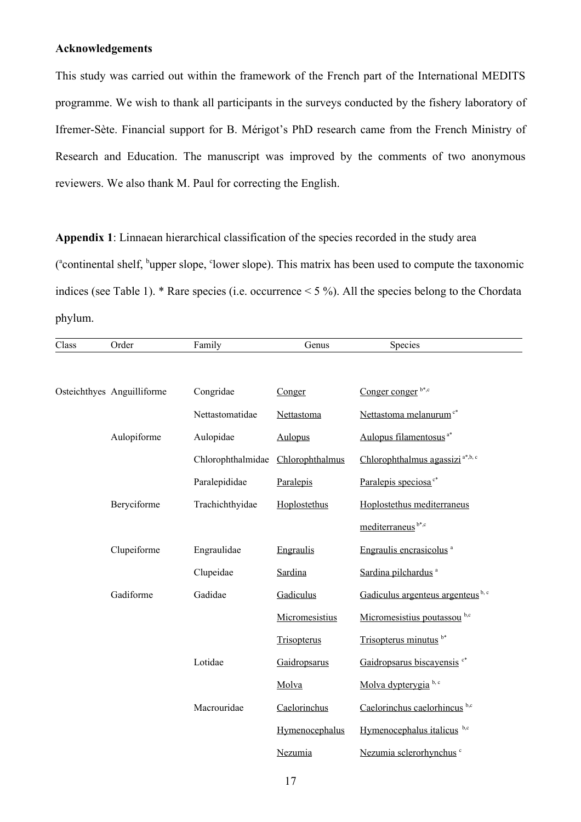# **Acknowledgements**

This study was carried out within the framework of the French part of the International MEDITS programme. We wish to thank all participants in the surveys conducted by the fishery laboratory of Ifremer-Sète. Financial support for B. Mérigot's PhD research came from the French Ministry of Research and Education. The manuscript was improved by the comments of two anonymous reviewers. We also thank M. Paul for correcting the English.

**Appendix 1**: Linnaean hierarchical classification of the species recorded in the study area (<sup>a</sup>continental shelf, <sup>b</sup>upper slope, <sup>c</sup>lower slope). This matrix has been used to compute the taxonomic indices (see Table 1). \* Rare species (i.e. occurrence < 5 %). All the species belong to the Chordata phylum.

| Class | Order                      | Family            | Genus           | Species                                     |
|-------|----------------------------|-------------------|-----------------|---------------------------------------------|
|       |                            |                   |                 |                                             |
|       | Osteichthyes Anguilliforme | Congridae         | Conger          | Conger conger b*,c                          |
|       |                            | Nettastomatidae   | Nettastoma      | Nettastoma melanurum <sup>c*</sup>          |
|       | Aulopiforme                | Aulopidae         | <b>Aulopus</b>  | Aulopus filamentosus <sup>a*</sup>          |
|       |                            | Chlorophthalmidae | Chlorophthalmus | Chlorophthalmus agassizi <sup>a*,b, c</sup> |
|       |                            | Paralepididae     | Paralepis       | Paralepis speciosa <sup>c*</sup>            |
|       | Beryciforme                | Trachichthyidae   | Hoplostethus    | Hoplostethus mediterraneus                  |
|       |                            |                   |                 | mediterraneus <sup>b*,c</sup>               |
|       | Clupeiforme                | Engraulidae       | Engraulis       | Engraulis encrasicolus <sup>a</sup>         |
|       |                            | Clupeidae         | Sardina         | Sardina pilchardus <sup>a</sup>             |
|       | Gadiforme                  | Gadidae           | Gadiculus       | Gadiculus argenteus argenteus b, c          |
|       |                            |                   | Micromesistius  | Micromesistius poutassou b,c                |
|       |                            |                   | Trisopterus     | Trisopterus minutus b*                      |
|       |                            | Lotidae           | Gaidropsarus    | Gaidropsarus biscayensis <sup>c*</sup>      |
|       |                            |                   | Molva           | Molva dypterygia b, c                       |
|       |                            | Macrouridae       | Caelorinchus    | Caelorinchus caelorhincus b,c               |
|       |                            |                   | Hymenocephalus  | Hymenocephalus italicus b,c                 |
|       |                            |                   | Nezumia         | Nezumia sclerorhynchus <sup>c</sup>         |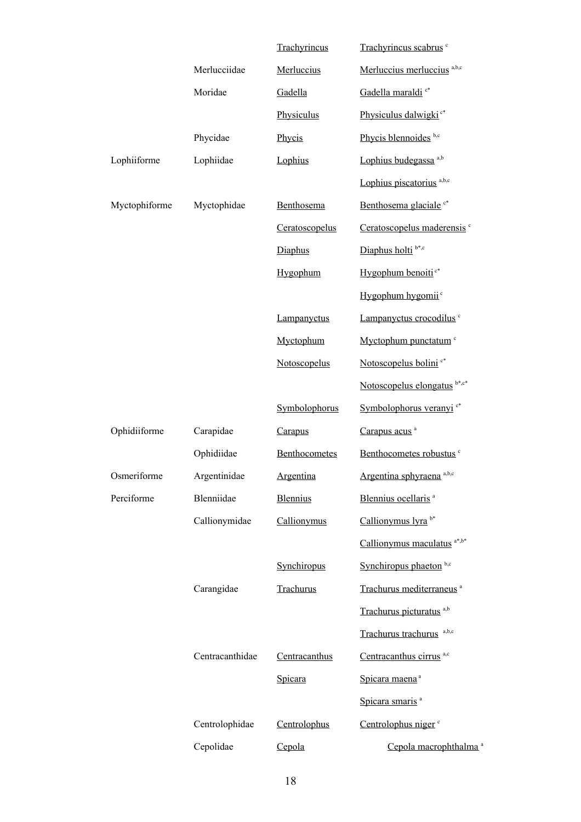|               |                 | Trachyrincus    | Trachyrincus scabrus <sup>c</sup>      |
|---------------|-----------------|-----------------|----------------------------------------|
|               | Merlucciidae    | Merluccius      | Merluccius merluccius a,b,c            |
|               | Moridae         | Gadella         | Gadella maraldi <sup>c*</sup>          |
|               |                 | Physiculus      | Physiculus dalwigki <sup>c*</sup>      |
|               | Phycidae        | Phycis          | Phycis blennoides b,c                  |
| Lophiiforme   | Lophiidae       | Lophius         | Lophius budegassa <sup>a,b</sup>       |
|               |                 |                 | Lophius piscatorius <sup>a,b,c</sup>   |
| Myctophiforme | Myctophidae     | Benthosema      | Benthosema glaciale <sup>c*</sup>      |
|               |                 | Ceratoscopelus  | Ceratoscopelus maderensis <sup>c</sup> |
|               |                 | Diaphus         | Diaphus holti <sup>b*,c</sup>          |
|               |                 | Hygophum        | Hygophum benoiti <sup>c*</sup>         |
|               |                 |                 | Hygophum hygomii <sup>c</sup>          |
|               |                 | Lampanyctus     | Lampanyctus crocodilus <sup>c</sup>    |
|               |                 | Myctophum       | Myctophum punctatum c                  |
|               |                 | Notoscopelus    | Notoscopelus bolini <sup>c*</sup>      |
|               |                 |                 | Notoscopelus elongatus b*,c*           |
|               |                 |                 |                                        |
|               |                 | Symbolophorus   | Symbolophorus veranyi <sup>c*</sup>    |
| Ophidiiforme  | Carapidae       | Carapus         | Carapus acus <sup>a</sup>              |
|               | Ophidiidae      | Benthocometes   | Benthocometes robustus <sup>c</sup>    |
| Osmeriforme   | Argentinidae    | Argentina       | Argentina sphyraena <sup>a,b,c</sup>   |
| Perciforme    | Blenniidae      | <b>Blennius</b> | Blennius ocellaris <sup>a</sup>        |
|               | Callionymidae   | Callionymus     | Callionymus lyra <sup>b*</sup>         |
|               |                 |                 | Callionymus maculatus a*,b*            |
|               |                 | Synchiropus     | Synchiropus phaeton <sup>b,c</sup>     |
|               | Carangidae      | Trachurus       | Trachurus mediterraneus <sup>a</sup>   |
|               |                 |                 | Trachurus picturatus <sup>a,b</sup>    |
|               |                 |                 | Trachurus trachurus a,b,c              |
|               | Centracanthidae | Centracanthus   | Centracanthus cirrus <sup>a,c</sup>    |
|               |                 | Spicara         | Spicara maena <sup>a</sup>             |
|               |                 |                 | Spicara smaris <sup>a</sup>            |
|               | Centrolophidae  | Centrolophus    | Centrolophus niger <sup>c</sup>        |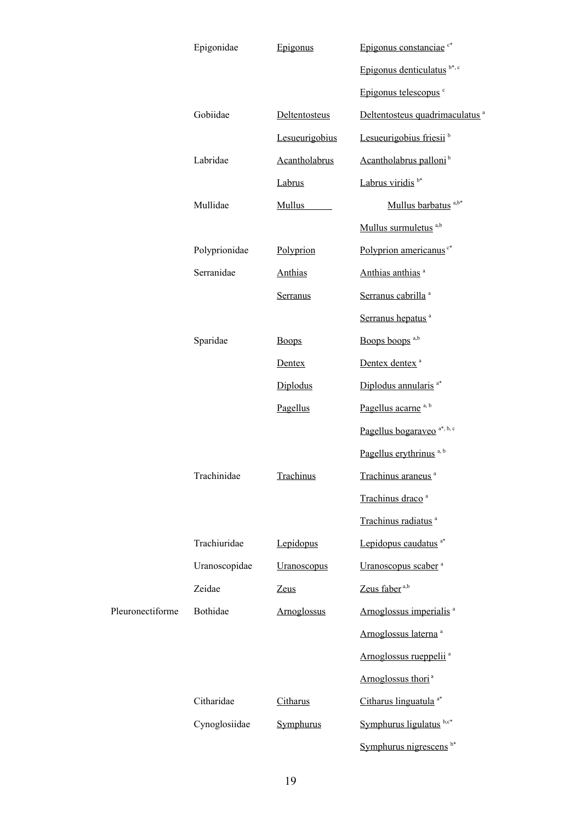|                  | Epigonidae    | Epigonus       | Epigonus constanciae <sup>c*</sup>         |
|------------------|---------------|----------------|--------------------------------------------|
|                  |               |                | Epigonus denticulatus $b^*, c$             |
|                  |               |                | Epigonus telescopus <sup>c</sup>           |
|                  | Gobiidae      | Deltentosteus  | Deltentosteus quadrimaculatus <sup>a</sup> |
|                  |               | Lesueurigobius | Lesueurigobius friesii <sup>b</sup>        |
|                  | Labridae      | Acantholabrus  | Acantholabrus palloni <sup>b</sup>         |
|                  |               | Labrus         | Labrus viridis <sup>b*</sup>               |
|                  | Mullidae      | <b>Mullus</b>  | Mullus barbatus <sup>a,b*</sup>            |
|                  |               |                | Mullus surmuletus <sup>a,b</sup>           |
|                  | Polyprionidae | Polyprion      | Polyprion americanus <sup>c*</sup>         |
|                  | Serranidae    | <b>Anthias</b> | Anthias anthias <sup>a</sup>               |
|                  |               | Serranus       | Serranus cabrilla <sup>a</sup>             |
|                  |               |                | Serranus hepatus <sup>a</sup>              |
|                  | Sparidae      | <b>Boops</b>   | Boops boops <sup>a,b</sup>                 |
|                  |               | Dentex         | Dentex dentex <sup>a</sup>                 |
|                  |               | Diplodus       | Diplodus annularis <sup>a*</sup>           |
|                  |               | Pagellus       | Pagellus acarne <sup>a, b</sup>            |
|                  |               |                | Pagellus bogaraveo <sup>a*, b, c</sup>     |
|                  |               |                | Pagellus erythrinus <sup>a, b</sup>        |
|                  | Trachinidae   | Trachinus      | Trachinus araneus <sup>a</sup>             |
|                  |               |                | Trachinus draco <sup>a</sup>               |
|                  |               |                | Trachinus radiatus <sup>a</sup>            |
|                  | Trachiuridae  | Lepidopus      | Lepidopus caudatus <sup>a*</sup>           |
|                  | Uranoscopidae | Uranoscopus    | Uranoscopus scaber <sup>a</sup>            |
|                  | Zeidae        | <b>Zeus</b>    | Zeus faber <sup>a,b</sup>                  |
| Pleuronectiforme | Bothidae      | Arnoglossus    | Arnoglossus imperialis <sup>a</sup>        |
|                  |               |                | Arnoglossus laterna <sup>a</sup>           |
|                  |               |                | Arnoglossus rueppelii <sup>a</sup>         |
|                  |               |                | Arnoglossus thori <sup>a</sup>             |
|                  | Citharidae    | Citharus       | Citharus linguatula <sup>a*</sup>          |
|                  | Cynoglosiidae | Symphurus      | Symphurus ligulatus b,c*                   |
|                  |               |                | Symphurus nigrescens <sup>b*</sup>         |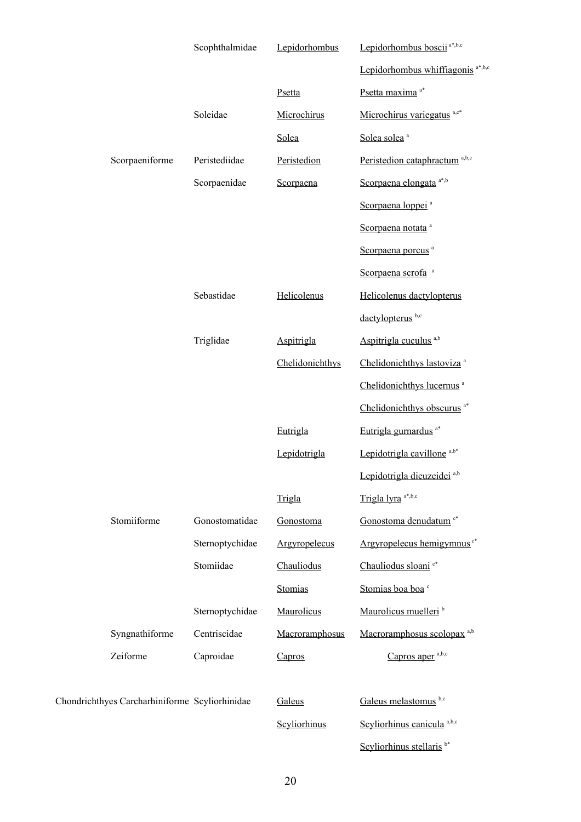|                                                | Scophthalmidae  | Lepidorhombus   | Lepidorhombus boscii <sup>a*,b,c</sup>       |
|------------------------------------------------|-----------------|-----------------|----------------------------------------------|
|                                                |                 |                 | Lepidorhombus whiffiagonis <sup>a*,b,c</sup> |
|                                                |                 | Psetta          | Psetta maxima <sup>a*</sup>                  |
|                                                | Soleidae        | Microchirus     | Microchirus variegatus a,c*                  |
|                                                |                 | Solea           | Solea solea <sup>a</sup>                     |
| Scorpaeniforme                                 | Peristediidae   | Peristedion     | Peristedion cataphractum <sup>a,b,c</sup>    |
|                                                | Scorpaenidae    | Scorpaena       | Scorpaena elongata a*,b                      |
|                                                |                 |                 | Scorpaena loppei <sup>a</sup>                |
|                                                |                 |                 | Scorpaena notata <sup>a</sup>                |
|                                                |                 |                 | Scorpaena porcus <sup>a</sup>                |
|                                                |                 |                 | Scorpaena scrofa <sup>a</sup>                |
|                                                | Sebastidae      | Helicolenus     | Helicolenus dactylopterus                    |
|                                                |                 |                 | dactylopterus <sup>b,c</sup>                 |
|                                                | Triglidae       | Aspitrigla      | Aspitrigla cuculus <sup>a,b</sup>            |
|                                                |                 | Chelidonichthys | Chelidonichthys lastoviza <sup>a</sup>       |
|                                                |                 |                 | Chelidonichthys lucernus <sup>a</sup>        |
|                                                |                 |                 | Chelidonichthys obscurus <sup>a*</sup>       |
|                                                |                 | Eutrigla        | Eutrigla gurnardus <sup>a*</sup>             |
|                                                |                 | Lepidotrigla    | Lepidotrigla cavillone <sup>a,b*</sup>       |
|                                                |                 |                 | Lepidotrigla dieuzeidei <sup>a,b</sup>       |
|                                                |                 | Trigla          | Trigla lyra <sup>a*,b,c</sup>                |
| Stomiiforme                                    | Gonostomatidae  | Gonostoma       | Gonostoma denudatum <sup>c*</sup>            |
|                                                | Sternoptychidae | Argyropelecus   | Argyropelecus hemigymnus <sup>c*</sup>       |
|                                                | Stomiidae       | Chauliodus      | Chauliodus sloani <sup>c*</sup>              |
|                                                |                 | Stomias         | Stomias boa boa c                            |
|                                                | Sternoptychidae | Maurolicus      | Maurolicus muelleri <sup>b</sup>             |
| Syngnathiforme                                 | Centriscidae    | Macroramphosus  | Macroramphosus scolopax <sup>a,b</sup>       |
| Zeiforme                                       | Caproidae       | Capros          | Capros aper $a,b,c$                          |
|                                                |                 |                 |                                              |
| Chondrichthyes Carcharhiniforme Scyliorhinidae |                 | Galeus          | Galeus melastomus b,c                        |
|                                                |                 | Scyliorhinus    | Scyliorhinus canicula <sup>a,b,c</sup>       |
|                                                |                 |                 | Scyliorhinus stellaris <sup>b*</sup>         |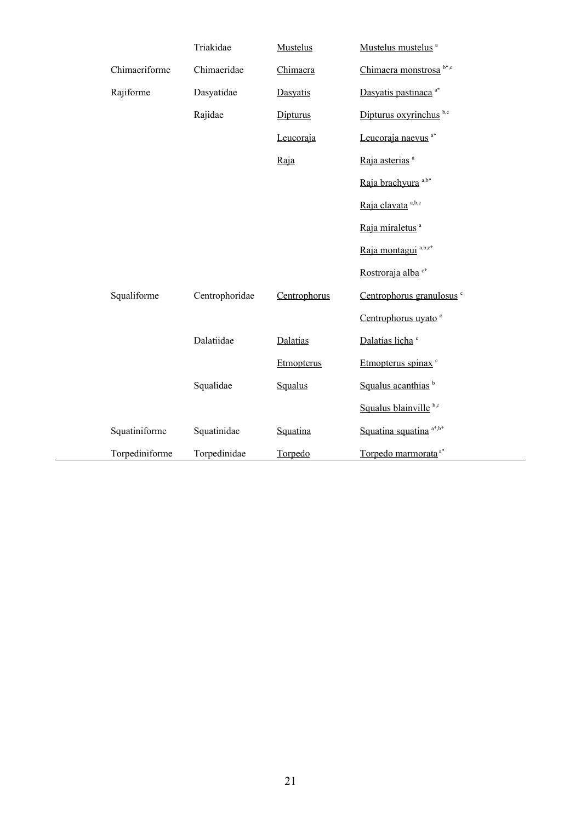|                | Triakidae      | Mustelus     | Mustelus mustelus <sup>a</sup>       |
|----------------|----------------|--------------|--------------------------------------|
| Chimaeriforme  | Chimaeridae    | Chimaera     | Chimaera monstrosa b*,c              |
| Rajiforme      | Dasyatidae     | Dasyatis     | Dasyatis pastinaca <sup>a*</sup>     |
|                | Rajidae        | Dipturus     | Dipturus oxyrinchus b,c              |
|                |                | Leucoraja    | Leucoraja naevus <sup>a*</sup>       |
|                |                | Raja         | Raja asterias <sup>a</sup>           |
|                |                |              | Raja brachyura <sup>a,b*</sup>       |
|                |                |              | Raja clavata <sup>a,b,c</sup>        |
|                |                |              | Raja miraletus <sup>a</sup>          |
|                |                |              | Raja montagui <sup>a,b,c*</sup>      |
|                |                |              | Rostroraja alba <sup>c*</sup>        |
| Squaliforme    | Centrophoridae | Centrophorus | Centrophorus granulosus <sup>c</sup> |
|                |                |              | Centrophorus uyato <sup>c</sup>      |
|                | Dalatiidae     | Dalatias     | Dalatias licha <sup>c</sup>          |
|                |                | Etmopterus   | Etmopterus spinax <sup>c</sup>       |
|                | Squalidae      | Squalus      | Squalus acanthias <sup>b</sup>       |
|                |                |              | Squalus blainville b,c               |
| Squatiniforme  | Squatinidae    | Squatina     | Squatina squatina a*,b*              |
| Torpediniforme | Torpedinidae   | Torpedo      | Torpedo marmorata <sup>a*</sup>      |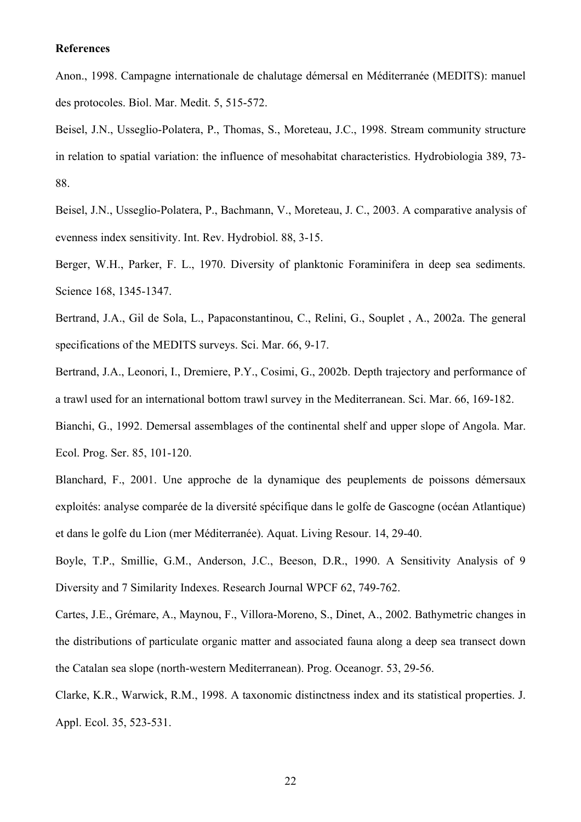### **References**

Anon., 1998. Campagne internationale de chalutage démersal en Méditerranée (MEDITS): manuel des protocoles. Biol. Mar. Medit. 5, 515-572.

Beisel, J.N., Usseglio-Polatera, P., Thomas, S., Moreteau, J.C., 1998. Stream community structure in relation to spatial variation: the influence of mesohabitat characteristics. Hydrobiologia 389, 73- 88.

Beisel, J.N., Usseglio-Polatera, P., Bachmann, V., Moreteau, J. C., 2003. A comparative analysis of evenness index sensitivity. Int. Rev. Hydrobiol. 88, 3-15.

Berger, W.H., Parker, F. L., 1970. Diversity of planktonic Foraminifera in deep sea sediments. Science 168, 1345-1347.

Bertrand, J.A., Gil de Sola, L., Papaconstantinou, C., Relini, G., Souplet , A., 2002a. The general specifications of the MEDITS surveys. Sci. Mar. 66, 9-17.

Bertrand, J.A., Leonori, I., Dremiere, P.Y., Cosimi, G., 2002b. Depth trajectory and performance of a trawl used for an international bottom trawl survey in the Mediterranean. Sci. Mar. 66, 169-182.

Bianchi, G., 1992. Demersal assemblages of the continental shelf and upper slope of Angola. Mar. Ecol. Prog. Ser. 85, 101-120.

Blanchard, F., 2001. Une approche de la dynamique des peuplements de poissons démersaux exploités: analyse comparée de la diversité spécifique dans le golfe de Gascogne (océan Atlantique) et dans le golfe du Lion (mer Méditerranée). Aquat. Living Resour. 14, 29-40.

Boyle, T.P., Smillie, G.M., Anderson, J.C., Beeson, D.R., 1990. A Sensitivity Analysis of 9 Diversity and 7 Similarity Indexes. Research Journal WPCF 62, 749-762.

Cartes, J.E., Grémare, A., Maynou, F., Villora-Moreno, S., Dinet, A., 2002. Bathymetric changes in the distributions of particulate organic matter and associated fauna along a deep sea transect down the Catalan sea slope (north-western Mediterranean). Prog. Oceanogr. 53, 29-56.

Clarke, K.R., Warwick, R.M., 1998. A taxonomic distinctness index and its statistical properties. J. Appl. Ecol. 35, 523-531.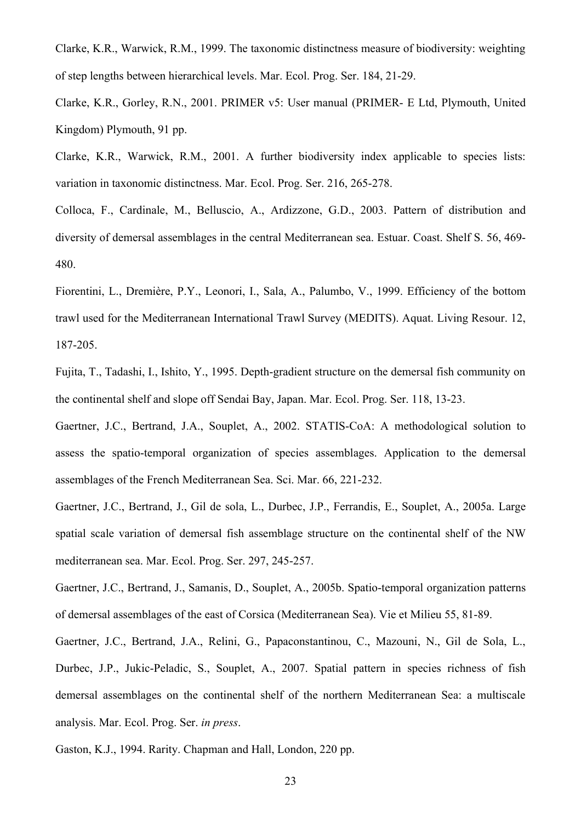Clarke, K.R., Warwick, R.M., 1999. The taxonomic distinctness measure of biodiversity: weighting of step lengths between hierarchical levels. Mar. Ecol. Prog. Ser. 184, 21-29.

Clarke, K.R., Gorley, R.N., 2001. PRIMER v5: User manual (PRIMER- E Ltd, Plymouth, United Kingdom) Plymouth, 91 pp.

Clarke, K.R., Warwick, R.M., 2001. A further biodiversity index applicable to species lists: variation in taxonomic distinctness. Mar. Ecol. Prog. Ser. 216, 265-278.

Colloca, F., Cardinale, M., Belluscio, A., Ardizzone, G.D., 2003. Pattern of distribution and diversity of demersal assemblages in the central Mediterranean sea. Estuar. Coast. Shelf S. 56, 469- 480.

Fiorentini, L., Dremière, P.Y., Leonori, I., Sala, A., Palumbo, V., 1999. Efficiency of the bottom trawl used for the Mediterranean International Trawl Survey (MEDITS). Aquat. Living Resour. 12, 187-205.

Fujita, T., Tadashi, I., Ishito, Y., 1995. Depth-gradient structure on the demersal fish community on the continental shelf and slope off Sendai Bay, Japan. Mar. Ecol. Prog. Ser. 118, 13-23.

Gaertner, J.C., Bertrand, J.A., Souplet, A., 2002. STATIS-CoA: A methodological solution to assess the spatio-temporal organization of species assemblages. Application to the demersal assemblages of the French Mediterranean Sea. Sci. Mar. 66, 221-232.

Gaertner, J.C., Bertrand, J., Gil de sola, L., Durbec, J.P., Ferrandis, E., Souplet, A., 2005a. Large spatial scale variation of demersal fish assemblage structure on the continental shelf of the NW mediterranean sea. Mar. Ecol. Prog. Ser. 297, 245-257.

Gaertner, J.C., Bertrand, J., Samanis, D., Souplet, A., 2005b. Spatio-temporal organization patterns of demersal assemblages of the east of Corsica (Mediterranean Sea). Vie et Milieu 55, 81-89.

Gaertner, J.C., Bertrand, J.A., Relini, G., Papaconstantinou, C., Mazouni, N., Gil de Sola, L., Durbec, J.P., Jukic-Peladic, S., Souplet, A., 2007. Spatial pattern in species richness of fish demersal assemblages on the continental shelf of the northern Mediterranean Sea: a multiscale analysis. Mar. Ecol. Prog. Ser. *in press*.

Gaston, K.J., 1994. Rarity. Chapman and Hall, London, 220 pp.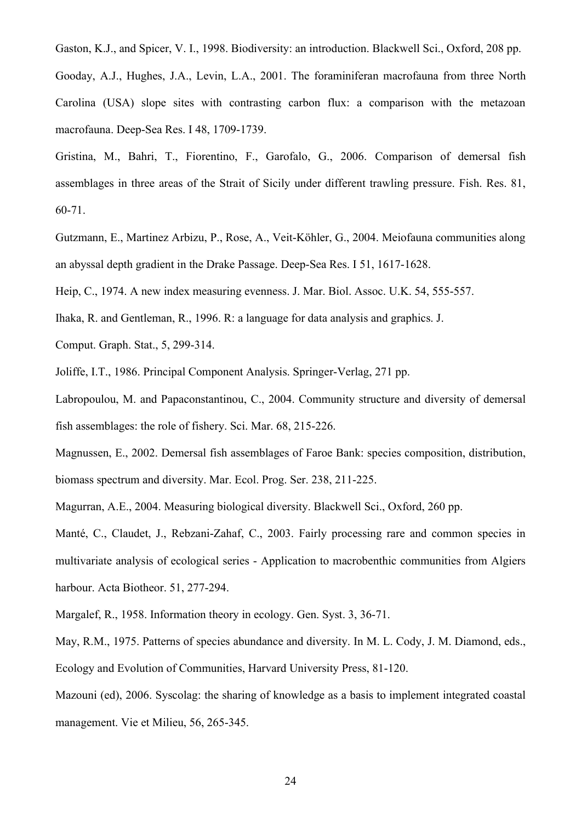Gaston, K.J., and Spicer, V. I., 1998. Biodiversity: an introduction. Blackwell Sci., Oxford, 208 pp. Gooday, A.J., Hughes, J.A., Levin, L.A., 2001. The foraminiferan macrofauna from three North Carolina (USA) slope sites with contrasting carbon flux: a comparison with the metazoan macrofauna. Deep-Sea Res. I 48, 1709-1739.

Gristina, M., Bahri, T., Fiorentino, F., Garofalo, G., 2006. Comparison of demersal fish assemblages in three areas of the Strait of Sicily under different trawling pressure. Fish. Res. 81, 60-71.

Gutzmann, E., Martinez Arbizu, P., Rose, A., Veit-Köhler, G., 2004. Meiofauna communities along an abyssal depth gradient in the Drake Passage. Deep-Sea Res. I 51, 1617-1628.

Heip, C., 1974. A new index measuring evenness. J. Mar. Biol. Assoc. U.K. 54, 555-557.

Ihaka, R. and Gentleman, R., 1996. R: a language for data analysis and graphics. J.

Comput. Graph. Stat., 5, 299-314.

Joliffe, I.T., 1986. Principal Component Analysis. Springer-Verlag, 271 pp.

Labropoulou, M. and Papaconstantinou, C., 2004. Community structure and diversity of demersal fish assemblages: the role of fishery. Sci. Mar. 68, 215-226.

Magnussen, E., 2002. Demersal fish assemblages of Faroe Bank: species composition, distribution, biomass spectrum and diversity. Mar. Ecol. Prog. Ser. 238, 211-225.

Magurran, A.E., 2004. Measuring biological diversity. Blackwell Sci., Oxford, 260 pp.

[Manté, C.](http://apps.isiknowledge.com/WoS/CIW.cgi?SID=S2lbF1FbOm4A765@5iF&Func=OneClickSearch&field=AU&val=Mante+C&ut=000186608300003&auloc=1&curr_doc=1/3&Form=FullRecordPage&doc=1/3), [Claudet, J.](http://apps.isiknowledge.com/WoS/CIW.cgi?SID=S2lbF1FbOm4A765@5iF&Func=OneClickSearch&field=AU&val=Claudet+J&ut=000186608300003&auloc=2&curr_doc=1/3&Form=FullRecordPage&doc=1/3), [Rebzani-Zahaf, C.](http://apps.isiknowledge.com/WoS/CIW.cgi?SID=S2lbF1FbOm4A765@5iF&Func=OneClickSearch&field=AU&val=Rebzani-Zahaf+C&ut=000186608300003&auloc=3&curr_doc=1/3&Form=FullRecordPage&doc=1/3), 2003. Fairly processing rare and common species in multivariate analysis of ecological series - Application to macrobenthic communities from Algiers harbour. Acta Biotheor. 51, 277-294.

Margalef, R., 1958. Information theory in ecology. Gen. Syst. 3, 36-71.

May, R.M., 1975. Patterns of species abundance and diversity. In M. L. Cody, J. M. Diamond, eds., Ecology and Evolution of Communities, Harvard University Press, 81-120.

Mazouni (ed), 2006. Syscolag: the sharing of knowledge as a basis to implement integrated coastal management. Vie et Milieu, 56, 265-345.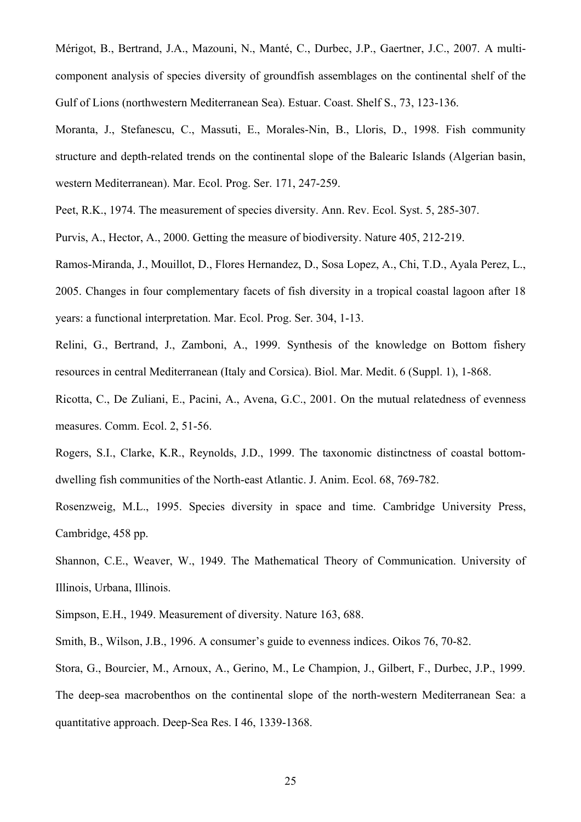Mérigot, B., Bertrand, J.A., Mazouni, N., Manté, C., Durbec, J.P., Gaertner, J.C., 2007. A multicomponent analysis of species diversity of groundfish assemblages on the continental shelf of the Gulf of Lions (northwestern Mediterranean Sea). Estuar. Coast. Shelf S., 73, 123-136.

Moranta, J., Stefanescu, C., Massuti, E., Morales-Nin, B., Lloris, D., 1998. Fish community structure and depth-related trends on the continental slope of the Balearic Islands (Algerian basin, western Mediterranean). Mar. Ecol. Prog. Ser. 171, 247-259.

Peet, R.K., 1974. The measurement of species diversity. Ann. Rev. Ecol. Syst. 5, 285-307.

Purvis, A., Hector, A., 2000. Getting the measure of biodiversity. Nature 405, 212-219.

Ramos-Miranda, J., Mouillot, D., Flores Hernandez, D., Sosa Lopez, A., Chi, T.D., Ayala Perez, L., 2005. Changes in four complementary facets of fish diversity in a tropical coastal lagoon after 18 years: a functional interpretation. Mar. Ecol. Prog. Ser. 304, 1-13.

Relini, G., Bertrand, J., Zamboni, A., 1999. Synthesis of the knowledge on Bottom fishery resources in central Mediterranean (Italy and Corsica). Biol. Mar. Medit. 6 (Suppl. 1), 1-868.

Ricotta, C., De Zuliani, E., Pacini, A., Avena, G.C., 2001. On the mutual relatedness of evenness measures. Comm. Ecol. 2, 51-56.

Rogers, S.I., Clarke, K.R., Reynolds, J.D., 1999. The taxonomic distinctness of coastal bottomdwelling fish communities of the North-east Atlantic. J. Anim. Ecol. 68, 769-782.

Rosenzweig, M.L., 1995. Species diversity in space and time. Cambridge University Press, Cambridge, 458 pp.

Shannon, C.E., Weaver, W., 1949. The Mathematical Theory of Communication. University of Illinois, Urbana, Illinois.

Simpson, E.H., 1949. Measurement of diversity. Nature 163, 688.

Smith, B., Wilson, J.B., 1996. A consumer's guide to evenness indices. Oikos 76, 70-82.

Stora, G., Bourcier, M., Arnoux, A., Gerino, M., Le Champion, J., Gilbert, F., Durbec, J.P., 1999. The deep-sea macrobenthos on the continental slope of the north-western Mediterranean Sea: a quantitative approach. Deep-Sea Res. I 46, 1339-1368.

25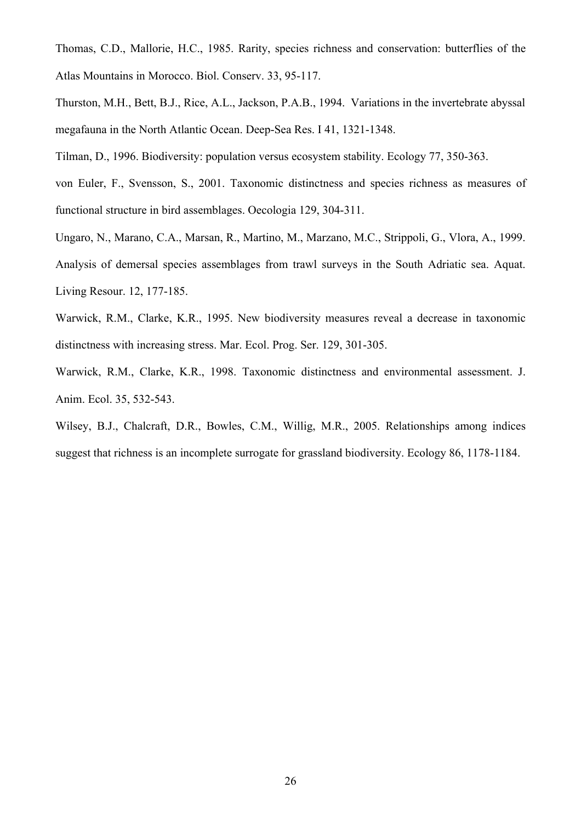- Thomas, C.D., Mallorie, H.C., 1985. Rarity, species richness and conservation: butterflies of the Atlas Mountains in Morocco. Biol. Conserv. 33, 95-117.
- Thurston, M.H., Bett, B.J., Rice, A.L., Jackson, P.A.B., 1994. Variations in the invertebrate abyssal megafauna in the North Atlantic Ocean. Deep-Sea Res. I 41, 1321-1348.
- Tilman, D., 1996. Biodiversity: population versus ecosystem stability. Ecology 77, 350-363.
- von Euler, F., Svensson, S., 2001. Taxonomic distinctness and species richness as measures of functional structure in bird assemblages. Oecologia 129, 304-311.
- Ungaro, N., Marano, C.A., Marsan, R., Martino, M., Marzano, M.C., Strippoli, G., Vlora, A., 1999. Analysis of demersal species assemblages from trawl surveys in the South Adriatic sea. Aquat. Living Resour. 12, 177-185.
- Warwick, R.M., Clarke, K.R., 1995. New biodiversity measures reveal a decrease in taxonomic distinctness with increasing stress. Mar. Ecol. Prog. Ser. 129, 301-305.
- Warwick, R.M., Clarke, K.R., 1998. Taxonomic distinctness and environmental assessment. J. Anim. Ecol. 35, 532-543.
- Wilsey, B.J., Chalcraft, D.R., Bowles, C.M., Willig, M.R., 2005. Relationships among indices suggest that richness is an incomplete surrogate for grassland biodiversity. Ecology 86, 1178-1184.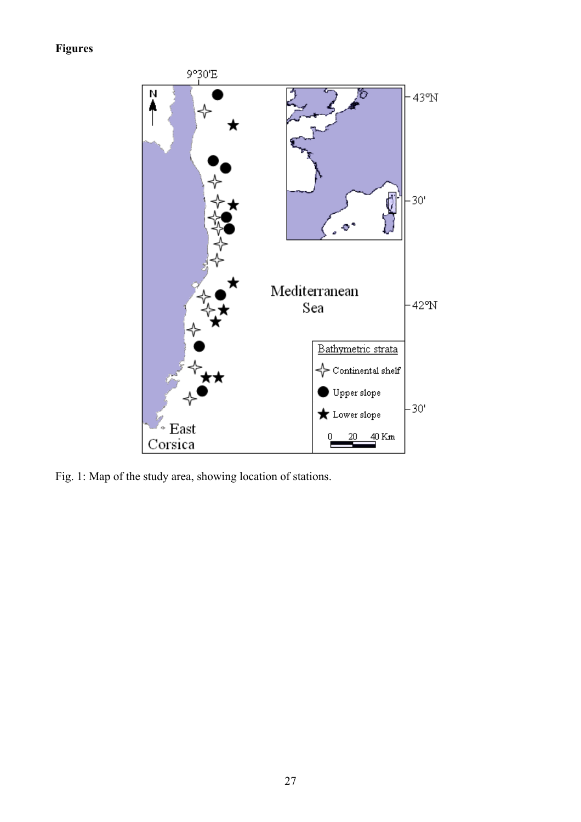# **Figures**



Fig. 1: Map of the study area, showing location of stations.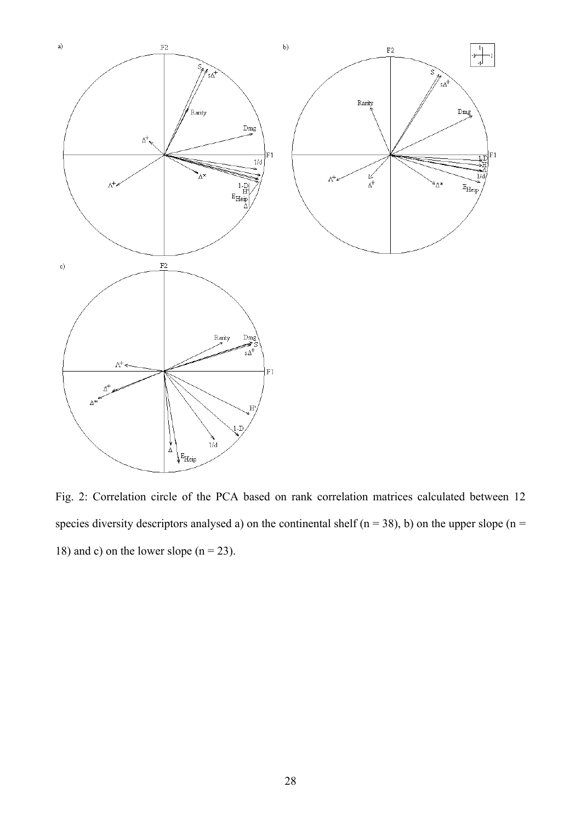

Fig. 2: Correlation circle of the PCA based on rank correlation matrices calculated between 12 species diversity descriptors analysed a) on the continental shelf ( $n = 38$ ), b) on the upper slope ( $n =$ 18) and c) on the lower slope  $(n = 23)$ .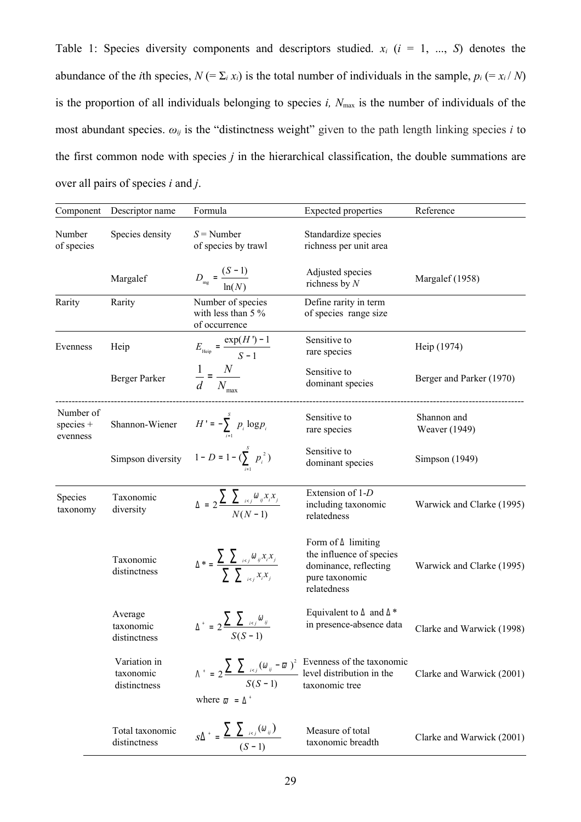Table 1: Species diversity components and descriptors studied.  $x_i$  ( $i = 1, ..., S$ ) denotes the abundance of the *i*th species,  $N (= \sum_i x_i)$  is the total number of individuals in the sample,  $p_i (= x_i / N)$ is the proportion of all individuals belonging to species  $i$ ,  $N_{\text{max}}$  is the number of individuals of the most abundant species.  $\omega_{ij}$  is the "distinctness weight" given to the path length linking species *i* to the first common node with species *j* in the hierarchical classification, the double summations are over all pairs of species *i* and *j*.

| Component                            | Descriptor name                           | Formula                                                                                       | <b>Expected properties</b>                                                                                                                                 | Reference                    |
|--------------------------------------|-------------------------------------------|-----------------------------------------------------------------------------------------------|------------------------------------------------------------------------------------------------------------------------------------------------------------|------------------------------|
| Number<br>of species                 | Species density                           | $S =$ Number<br>of species by trawl                                                           | Standardize species<br>richness per unit area                                                                                                              |                              |
|                                      | Margalef                                  | $D_{mg} = \frac{(S-1)}{\ln(N)}$                                                               | Adjusted species<br>richness by $N$                                                                                                                        | Margalef (1958)              |
| Rarity                               | Rarity                                    | Number of species<br>with less than $5\%$<br>of occurrence                                    | Define rarity in term<br>of species range size                                                                                                             |                              |
| Evenness                             | Heip                                      | $E_{\text{\tiny{Heip}}} = \frac{\exp(H^{\prime}) - 1}{S - 1}$                                 | Sensitive to<br>rare species                                                                                                                               | Heip (1974)                  |
|                                      | <b>Berger Parker</b>                      | $\frac{1}{d} = \frac{N}{N_{\text{max}}}$                                                      | Sensitive to<br>dominant species                                                                                                                           | Berger and Parker (1970)     |
| Number of<br>$species +$<br>evenness | Shannon-Wiener                            | $H' = -\sum_{i=1}^{S} p_i \log p_i$                                                           | Sensitive to<br>rare species                                                                                                                               | Shannon and<br>Weaver (1949) |
|                                      | Simpson diversity                         | 1- D = 1- $(\sum^s p_i^2)$                                                                    | Sensitive to<br>dominant species                                                                                                                           | Simpson (1949)               |
| Species<br>taxonomy                  | Taxonomic<br>diversity                    | $\Delta = 2 \frac{\sum_{i} \sum_{i \in j} \omega_{ij} x_i x_j}{N(N-1)}$                       | Extension of 1-D<br>including taxonomic<br>relatedness                                                                                                     | Warwick and Clarke (1995)    |
|                                      | Taxonomic<br>distinctness                 | $\Delta^* = \frac{\sum \sum_{i < j} \omega_{ij} x_i x_j}{\sum \sum_{i < j} \sum_{i} x_i x_j}$ | Form of $\Delta$ limiting<br>the influence of species<br>dominance, reflecting<br>pure taxonomic<br>relatedness                                            | Warwick and Clarke (1995)    |
|                                      | Average<br>taxonomic<br>distinctness      | $\Delta^+ = 2 \frac{\sum_{i \in J} \omega_{ij}}{S(S-1)}$                                      | Equivalent to $\Delta$ and $\Delta$ *<br>in presence-absence data                                                                                          | Clarke and Warwick (1998)    |
|                                      | Variation in<br>taxonomic<br>distinctness | where $\varpi = \Delta^+$                                                                     | $\Lambda^+ = 2 \frac{\sum_{i \in J} (\omega_{ij} - \overline{\omega})^2}{S(S-1)}$ Evenness of the taxonomic<br>level distribution in the<br>taxonomic tree | Clarke and Warwick (2001)    |
|                                      | Total taxonomic<br>distinctness           | $S\Delta^+ = \frac{\sum_{i$                                                                   | Measure of total<br>taxonomic breadth                                                                                                                      | Clarke and Warwick (2001)    |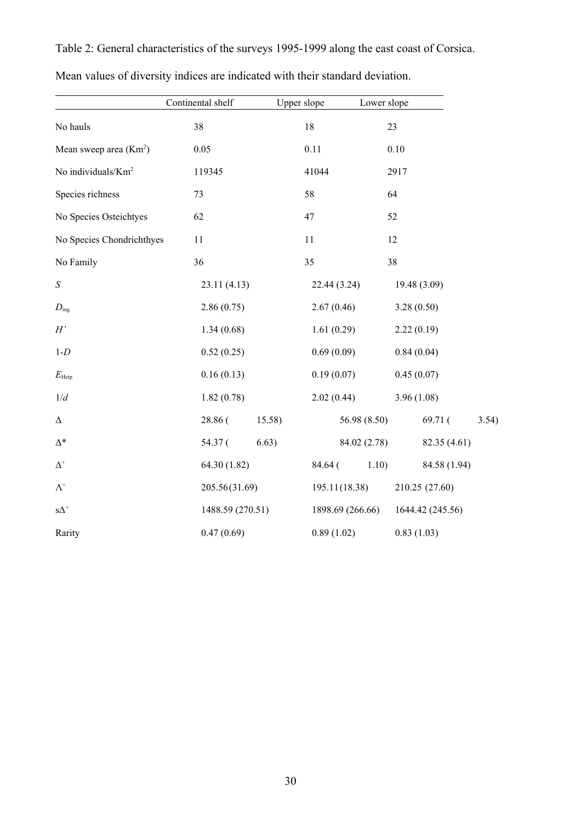|                                | Continental shelf | Upper slope | Lower slope                          |              |
|--------------------------------|-------------------|-------------|--------------------------------------|--------------|
| No hauls                       | 38                | 18          | 23                                   |              |
| Mean sweep area $(Km2)$        | 0.05              | 0.11        | 0.10                                 |              |
| No individuals/Km <sup>2</sup> | 119345            | 41044       | 2917                                 |              |
| Species richness               | 73                | 58          | 64                                   |              |
| No Species Osteichtyes         | 62                | 47          | 52                                   |              |
| No Species Chondrichthyes      | 11                | 11          | 12                                   |              |
| No Family                      | 36                | 35          | 38                                   |              |
| $\boldsymbol{S}$               | 23.11(4.13)       |             | 22.44 (3.24)<br>19.48 (3.09)         |              |
| $D_{\rm mg}$                   | 2.86(0.75)        | 2.67(0.46)  | 3.28(0.50)                           |              |
| H'                             | 1.34(0.68)        | 1.61(0.29)  | 2.22(0.19)                           |              |
| $1-D$                          | 0.52(0.25)        | 0.69(0.09)  | 0.84(0.04)                           |              |
| $E_{\rm{Heip}}$                | 0.16(0.13)        | 0.19(0.07)  | 0.45(0.07)                           |              |
| 1/d                            | 1.82(0.78)        | 2.02(0.44)  | 3.96(1.08)                           |              |
| $\Delta$                       | 28.86 (           | 15.58)      | 56.98 (8.50)<br>69.71 (              | 3.54)        |
| $\Delta^*$                     | 54.37 (           | 6.63)       | 84.02 (2.78)                         | 82.35 (4.61) |
| $\Delta^+$                     | 64.30 (1.82)      | 84.64 (     | 1.10)                                | 84.58 (1.94) |
| $\Lambda^+$                    | 205.56(31.69)     |             | 195.11(18.38)<br>210.25 (27.60)      |              |
| $\mathrm{s}\Delta^+$           | 1488.59 (270.51)  |             | 1898.69 (266.66)<br>1644.42 (245.56) |              |
| Rarity                         | 0.47(0.69)        | 0.89(1.02)  | 0.83(1.03)                           |              |

Table 2: General characteristics of the surveys 1995-1999 along the east coast of Corsica.

|  |  |  |  |  | Mean values of diversity indices are indicated with their standard deviation. |  |
|--|--|--|--|--|-------------------------------------------------------------------------------|--|
|  |  |  |  |  |                                                                               |  |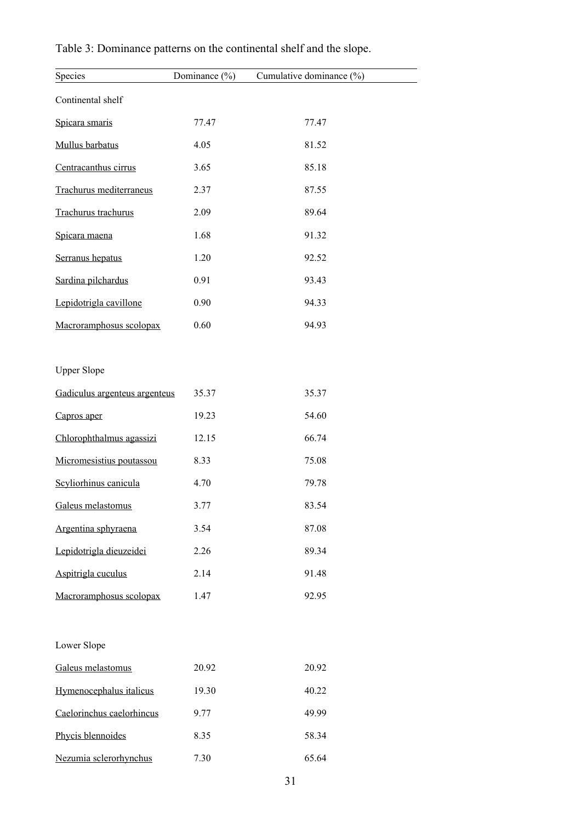| Species                       | Dominance $(\% )$ | Cumulative dominance (%) |
|-------------------------------|-------------------|--------------------------|
| Continental shelf             |                   |                          |
| Spicara smaris                | 77.47             | 77.47                    |
| Mullus barbatus               | 4.05              | 81.52                    |
| Centracanthus cirrus          | 3.65              | 85.18                    |
| Trachurus mediterraneus       | 2.37              | 87.55                    |
| Trachurus trachurus           | 2.09              | 89.64                    |
| Spicara maena                 | 1.68              | 91.32                    |
| Serranus hepatus              | 1.20              | 92.52                    |
| Sardina pilchardus            | 0.91              | 93.43                    |
| Lepidotrigla cavillone        | 0.90              | 94.33                    |
| Macroramphosus scolopax       | 0.60              | 94.93                    |
|                               |                   |                          |
| <b>Upper Slope</b>            |                   |                          |
| Gadiculus argenteus argenteus | 35.37             | 35.37                    |
| Capros aper                   | 19.23             | 54.60                    |
| Chlorophthalmus agassizi      | 12.15             | 66.74                    |
| Micromesistius poutassou      | 8.33              | 75.08                    |
| Scyliorhinus canicula         | 4.70              | 79.78                    |
| Galeus melastomus             | 3.77              | 83.54                    |
| Argentina sphyraena           | 3.54              | 87.08                    |
| Lepidotrigla dieuzeidei       | 2.26              | 89.34                    |
| Aspitrigla cuculus            | 2.14              | 91.48                    |
| Macroramphosus scolopax       | 1.47              | 92.95                    |
|                               |                   |                          |
| Lower Slope                   |                   |                          |
| Galeus melastomus             | 20.92             | 20.92                    |
| Hymenocephalus italicus       | 19.30             | 40.22                    |
| Caelorinchus caelorhincus     | 9.77              | 49.99                    |
| Phycis blennoides             | 8.35              | 58.34                    |
| Nezumia sclerorhynchus        | 7.30              | 65.64                    |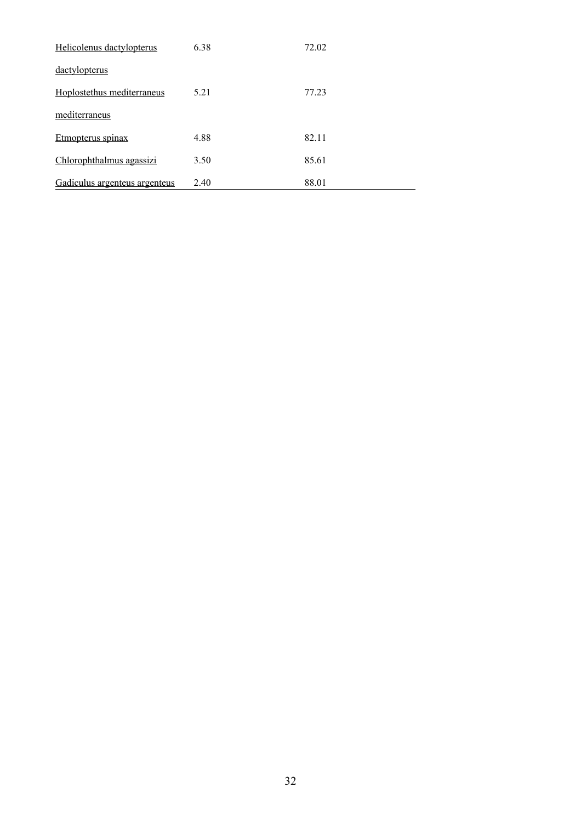| Helicolenus dactylopterus     | 6.38 | 72.02 |
|-------------------------------|------|-------|
| <u>dactylopterus</u>          |      |       |
| Hoplostethus mediterraneus    | 5.21 | 77.23 |
| mediterraneus                 |      |       |
| Etmopterus spinax             | 4.88 | 82.11 |
| Chlorophthalmus agassizi      | 3.50 | 85.61 |
| Gadiculus argenteus argenteus | 2.40 | 88.01 |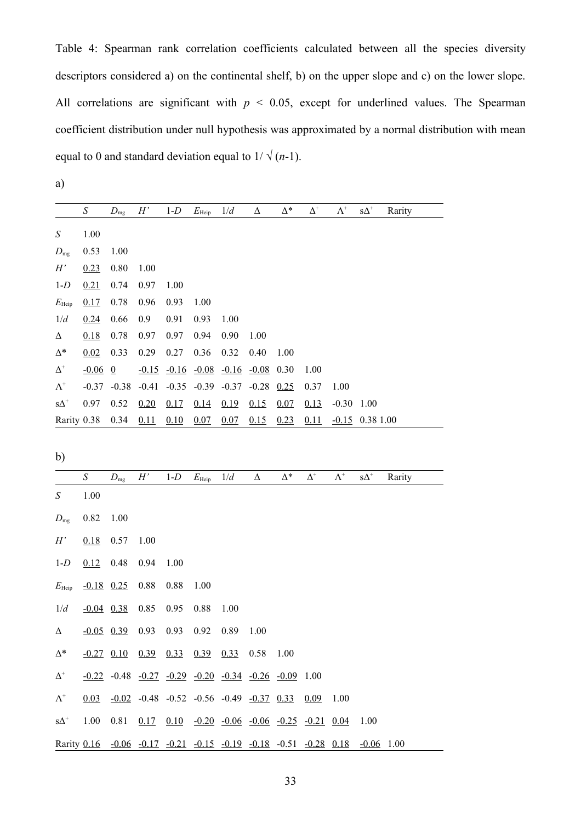Table 4: Spearman rank correlation coefficients calculated between all the species diversity descriptors considered a) on the continental shelf, b) on the upper slope and c) on the lower slope. All correlations are significant with  $p < 0.05$ , except for underlined values. The Spearman coefficient distribution under null hypothesis was approximated by a normal distribution with mean equal to 0 and standard deviation equal to  $1/\sqrt{(n-1)}$ .

a)

|                                  | $\boldsymbol{S}$ | $D_{mg}$       | H'      | $1-D$                                                                | $E_{\text{Heip}}$ | $1/d$   | $\Delta$ | $\Delta^*$ | $\Delta^{\scriptscriptstyle +}$ | $\Lambda^{\scriptscriptstyle{+}}$ | $\mathrm{S}\Delta^+$            | Rarity |
|----------------------------------|------------------|----------------|---------|----------------------------------------------------------------------|-------------------|---------|----------|------------|---------------------------------|-----------------------------------|---------------------------------|--------|
| $\boldsymbol{S}$                 | 1.00             |                |         |                                                                      |                   |         |          |            |                                 |                                   |                                 |        |
| $D_{\rm mg}$                     | 0.53             | 1.00           |         |                                                                      |                   |         |          |            |                                 |                                   |                                 |        |
| H'                               | 0.23             | 0.80           | 1.00    |                                                                      |                   |         |          |            |                                 |                                   |                                 |        |
| $1-D$                            | 0.21             | 0.74           | 0.97    | 1.00                                                                 |                   |         |          |            |                                 |                                   |                                 |        |
| $E_{\text{Heip}}$                | 0.17             | 0.78           | 0.96    | 0.93                                                                 | 1.00              |         |          |            |                                 |                                   |                                 |        |
| 1/d                              | 0.24             | 0.66           | 0.9     | 0.91                                                                 | 0.93              | 1.00    |          |            |                                 |                                   |                                 |        |
| Δ                                | 0.18             | 0.78           | 0.97    | 0.97                                                                 | 0.94              | 0.90    | 1.00     |            |                                 |                                   |                                 |        |
| $\Delta^*$                       | 0.02             | 0.33           | 0.29    | 0.27                                                                 | 0.36              | 0.32    | 0.40     | 1.00       |                                 |                                   |                                 |        |
| $\Delta^{\scriptscriptstyle +}$  | $-0.06$          | $\overline{0}$ | $-0.15$ | $-0.16 - 0.08$                                                       |                   | $-0.16$ | $-0.08$  | 0.30       | 1.00                            |                                   |                                 |        |
| $\Lambda^{\scriptscriptstyle +}$ | $-0.37$          | $-0.38$        | $-0.41$ | $-0.35$                                                              | $-0.39$           | $-0.37$ | $-0.28$  | 0.25       | 0.37                            | 1.00                              |                                 |        |
| $\mathrm{s}\Delta^{\mathrm{+}}$  | 0.97             | 0.52           | 0.20    | 0.17                                                                 | 0.14              | 0.19    | 0.15     | 0.07       | 0.13                            | $-0.30$                           | 1.00                            |        |
| Rarity 0.38                      |                  | 0.34           | 0.11    | 0.10                                                                 | 0.07              | 0.07    | 0.15     | 0.23       | 0.11                            |                                   | $-0.15$ 0.38 1.00               |        |
| b)                               |                  |                |         |                                                                      |                   |         |          |            |                                 |                                   |                                 |        |
|                                  |                  |                |         |                                                                      |                   |         |          |            |                                 |                                   |                                 |        |
|                                  | $\boldsymbol{S}$ | $D_{mg}$       | H'      | $1-D$                                                                | $E_{\text{Heip}}$ | 1/d     | Δ        | $\Delta^*$ | $\Delta^{\scriptscriptstyle +}$ | $\Lambda^{\scriptscriptstyle +}$  | $\mathrm{s}\Delta^{\mathrm{+}}$ | Rarity |
| $\boldsymbol{S}$<br>$D_{mg}$     | 1.00<br>0.82     | 1.00           |         |                                                                      |                   |         |          |            |                                 |                                   |                                 |        |
| H'                               | 0.18             | 0.57           | 1.00    |                                                                      |                   |         |          |            |                                 |                                   |                                 |        |
| $1-D$                            | 0.12             | 0.48           | 0.94    | 1.00                                                                 |                   |         |          |            |                                 |                                   |                                 |        |
| $E_{\text{Heip}}$                | $-0.18$ 0.25     |                | 0.88    | 0.88                                                                 | 1.00              |         |          |            |                                 |                                   |                                 |        |
| 1/d                              | $-0.04$ 0.38     |                | 0.85    | 0.95                                                                 | 0.88              | 1.00    |          |            |                                 |                                   |                                 |        |
| Δ                                |                  | $-0.05$ 0.39   | 0.93    | 0.93                                                                 | 0.92              | 0.89    | 1.00     |            |                                 |                                   |                                 |        |
| $\Delta^*$                       |                  |                |         | $-0.27$ 0.10 0.39 0.33 0.39 0.33 0.58 1.00                           |                   |         |          |            |                                 |                                   |                                 |        |
| $\Delta^{\scriptscriptstyle +}$  |                  |                |         | $-0.22$ $-0.48$ $-0.27$ $-0.29$ $-0.20$ $-0.34$ $-0.26$ $-0.09$ 1.00 |                   |         |          |            |                                 |                                   |                                 |        |

 $s\Delta^+$ 1.00 0.81 0.17 0.10 -0.20 -0.06 -0.06 -0.25 -0.21 0.04 1.00

Rarity 0.16 -0.06 -0.17 -0.21 -0.15 -0.19 -0.18 -0.51 -0.28 0.18 -0.06 1.00